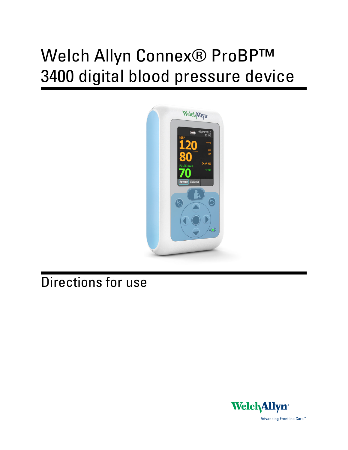# Welch Allyn Connex® ProBP™ 3400 digital blood pressure device



## Directions for use

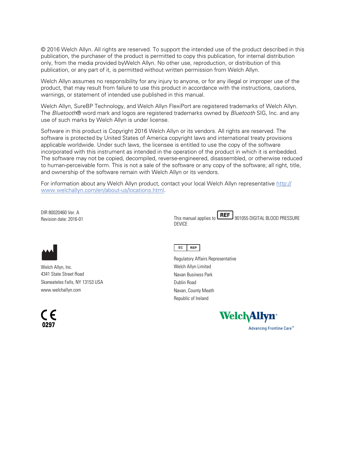© 2016 Welch Allyn. All rights are reserved. To support the intended use of the product described in this publication, the purchaser of the product is permitted to copy this publication, for internal distribution only, from the media provided byWelch Allyn. No other use, reproduction, or distribution of this publication, or any part of it, is permitted without written permission from Welch Allyn.

Welch Allyn assumes no responsibility for any injury to anyone, or for any illegal or improper use of the product, that may result from failure to use this product in accordance with the instructions, cautions, warnings, or statement of intended use published in this manual.

Welch Allyn, SureBP Technology, and Welch Allyn FlexiPort are registered trademarks of Welch Allyn. The *Bluetooth*® word mark and logos are registered trademarks owned by *Bluetooth* SIG, Inc. and any use of such marks by Welch Allyn is under license.

Software in this product is Copyright 2016 Welch Allyn or its vendors. All rights are reserved. The software is protected by United States of America copyright laws and international treaty provisions applicable worldwide. Under such laws, the licensee is entitled to use the copy of the software incorporated with this instrument as intended in the operation of the product in which it is embedded. The software may not be copied, decompiled, reverse-engineered, disassembled, or otherwise reduced to human-perceivable form. This is not a sale of the software or any copy of the software; all right, title, and ownership of the software remain with Welch Allyn or its vendors.

For information about any Welch Allyn product, contact your local Welch Allyn representative [http://](http://www.welchallyn.com/en/about-us/locations.html) [www.welchallyn.com/en/about-us/locations.html.](http://www.welchallyn.com/en/about-us/locations.html)

DIR 80020460 Ver. A

DIR 80020460 VER. A<br>Revision date: 2016-01 This manual applies to **LREF** 901055 DIGITAL BLOOD PRESSURE DEVICE



Welch Allyn, Inc. 4341 State Street Road Skaneateles Falls, NY 13153 USA www.welchallyn.com



EC REP

Regulatory Affairs Representative Welch Allyn Limited Navan Business Park Dublin Road Navan, County Meath Republic of Ireland

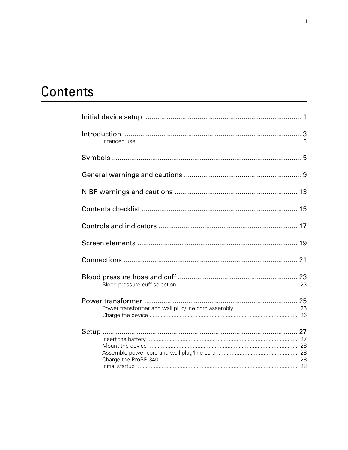## Contents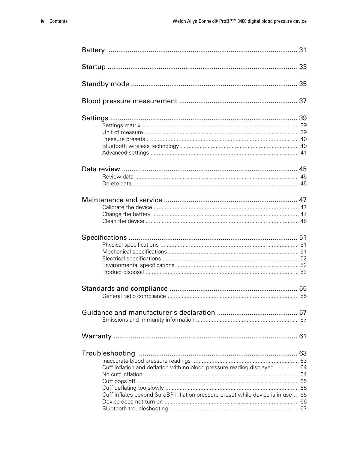| Cuff inflation and deflation with no blood pressure reading displayed  64        |  |
|----------------------------------------------------------------------------------|--|
|                                                                                  |  |
|                                                                                  |  |
|                                                                                  |  |
| Cuff inflates beyond SureBP inflation pressure preset while device is in use  65 |  |
|                                                                                  |  |
|                                                                                  |  |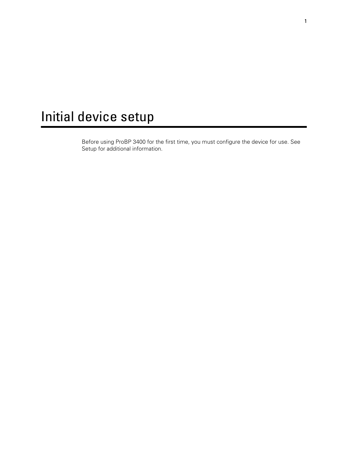## <span id="page-6-0"></span>Initial device setup

Before using ProBP 3400 for the first time, you must configure the device for use. See Setup for additional information.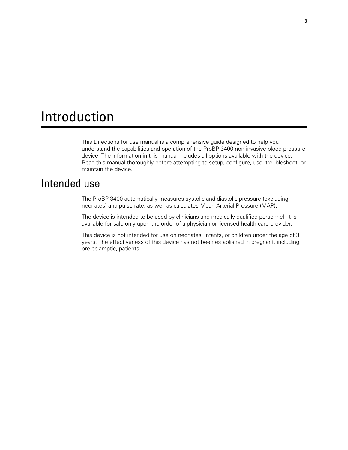### <span id="page-8-0"></span>Introduction

This Directions for use manual is a comprehensive guide designed to help you understand the capabilities and operation of the ProBP 3400 non-invasive blood pressure device. The information in this manual includes all options available with the device. Read this manual thoroughly before attempting to setup, configure, use, troubleshoot, or maintain the device.

#### Intended use

The ProBP 3400 automatically measures systolic and diastolic pressure (excluding neonates) and pulse rate, as well as calculates Mean Arterial Pressure (MAP).

The device is intended to be used by clinicians and medically qualified personnel. It is available for sale only upon the order of a physician or licensed health care provider.

This device is not intended for use on neonates, infants, or children under the age of 3 years. The effectiveness of this device has not been established in pregnant, including pre-eclamptic, patients.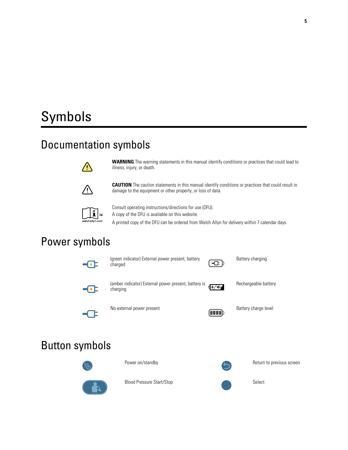## <span id="page-10-0"></span>Symbols

### Documentation symbols



**WARNING** The warning statements in this manual identify conditions or practices that could lead to illness, injury, or death.



**CAUTION** The caution statements in this manual identify conditions or practices that could result in damage to the equipment or other property, or loss of data.



Consult operating instructions/directions for use (DFU). A copy of the DFU is available on this website.

A printed copy of the DFU can be ordered from Welch Allyn for delivery within 7 calendar days.

### Power symbols



charged

(green indicator) External power present, battery



Battery charging



╺──

(amber indicator) External power present, battery is charging



Rechargeable battery



No external power present and Battery charge level by the Battery charge level

### Button symbols





Power on/standby **Return to previous screen** 

Blood Pressure Start/Stop Select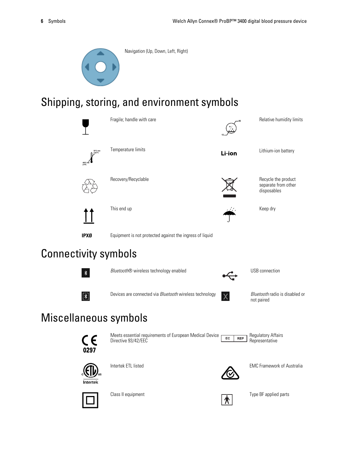

Navigation (Up, Down, Left, Right)

### Shipping, storing, and environment symbols







Intertek ETL listed EMC Framework of Australia

Intertek





Class II equipment  $\overline{R}$  Type BF applied parts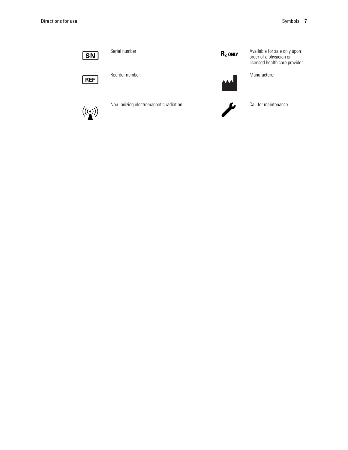



Reorder number Manufacturer



Non-ionizing electromagnetic radiation Call for maintenance



Serial number **Available for sale only upon Department Conducts** Available for sale only upon order of a physician or licensed health care provider



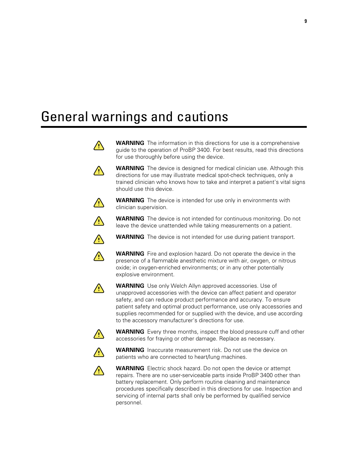## <span id="page-14-0"></span>General warnings and cautions



















servicing of internal parts shall only be performed by qualified service personnel.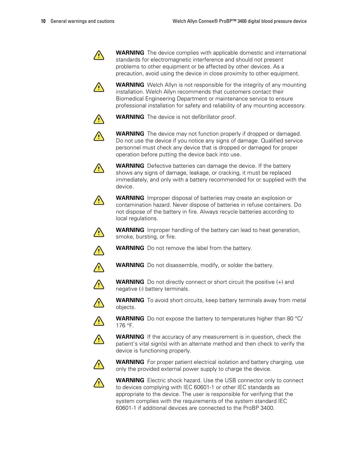

**WARNING** The device complies with applicable domestic and international standards for electromagnetic interference and should not present problems to other equipment or be affected by other devices. As a precaution, avoid using the device in close proximity to other equipment.

**WARNING** Welch Allyn is not responsible for the integrity of any mounting installation. Welch Allyn recommends that customers contact their Biomedical Engineering Department or maintenance service to ensure professional installation for safety and reliability of any mounting accessory.



/!\

**WARNING** The device is not defibrillator proof.



**WARNING** The device may not function properly if dropped or damaged. Do not use the device if you notice any signs of damage. Qualified service personnel must check any device that is dropped or damaged for proper operation before putting the device back into use.



**WARNING** Defective batteries can damage the device. If the battery shows any signs of damage, leakage, or cracking, it must be replaced immediately, and only with a battery recommended for or supplied with the device.



**WARNING** Improper disposal of batteries may create an explosion or contamination hazard. Never dispose of batteries in refuse containers. Do not dispose of the battery in fire. Always recycle batteries according to local regulations.



**WARNING** Improper handling of the battery can lead to heat generation, smoke, bursting, or fire.



**WARNING** Do not remove the label from the battery.



**WARNING** Do not disassemble, modify, or solder the battery.



**WARNING** Do not directly connect or short circuit the positive (+) and negative (-) battery terminals.

**WARNING** To avoid short circuits, keep battery terminals away from metal objects.



 $\sqrt{2}$ 

**WARNING** Do not expose the battery to temperatures higher than 80 °C/ 176 °F.



**WARNING** If the accuracy of any measurement is in question, check the patient's vital sign(s) with an alternate method and then check to verify the device is functioning properly.



**WARNING** For proper patient electrical isolation and battery charging, use only the provided external power supply to charge the device.



**WARNING** Electric shock hazard. Use the USB connector only to connect to devices complying with IEC 60601-1 or other IEC standards as appropriate to the device. The user is responsible for verifying that the system complies with the requirements of the system standard IEC 60601-1 if additional devices are connected to the ProBP 3400.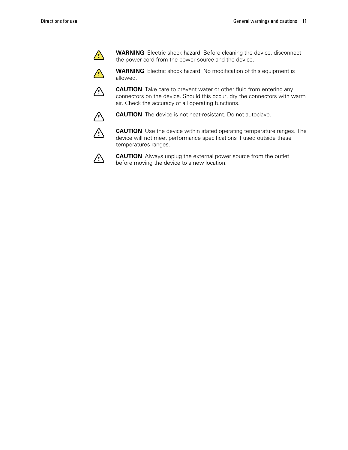

 $\sqrt{2}$ 

**WARNING** Electric shock hazard. Before cleaning the device, disconnect the power cord from the power source and the device.

**WARNING** Electric shock hazard. No modification of this equipment is allowed.



**CAUTION** Take care to prevent water or other fluid from entering any connectors on the device. Should this occur, dry the connectors with warm air. Check the accuracy of all operating functions.



**CAUTION** The device is not heat-resistant. Do not autoclave.



**CAUTION** Use the device within stated operating temperature ranges. The device will not meet performance specifications if used outside these temperatures ranges.



**CAUTION** Always unplug the external power source from the outlet before moving the device to a new location.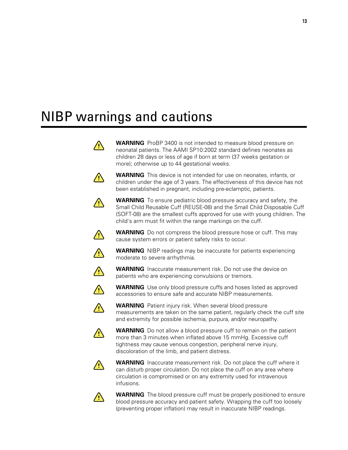## <span id="page-18-0"></span>NIBP warnings and cautions





**WARNING** The blood pressure cuff must be properly positioned to ensure blood pressure accuracy and patient safety. Wrapping the cuff too loosely (preventing proper inflation) may result in inaccurate NIBP readings.



 $\sqrt{2}$ 

/!\

**WARNING** To ensure pediatric blood pressure accuracy and safety, the Small Child Reusable Cuff (REUSE-08) and the Small Child Disposable Cuff (SOFT-08) are the smallest cuffs approved for use with young children. The child's arm must fit within the range markings on the cuff.



cause system errors or patient safety risks to occur.



moderate to severe arrhythmia.



patients who are experiencing convulsions or tremors.



**WARNING** Use only blood pressure cuffs and hoses listed as approved accessories to ensure safe and accurate NIBP measurements.



 $\sqrt{2}$ 

measurements are taken on the same patient, regularly check the cuff site and extremity for possible ischemia, purpura, and/or neuropathy.

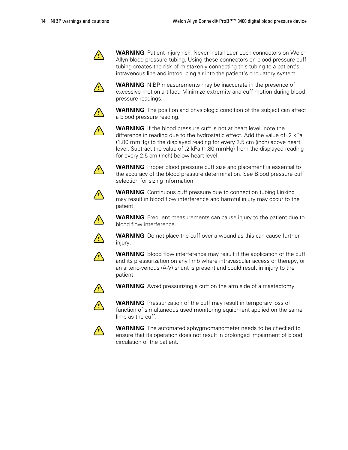

**WARNING** Patient injury risk. Never install Luer Lock connectors on Welch Allyn blood pressure tubing. Using these connectors on blood pressure cuff tubing creates the risk of mistakenly connecting this tubing to a patient's intravenous line and introducing air into the patient's circulatory system.



**WARNING** NIBP measurements may be inaccurate in the presence of excessive motion artifact. Minimize extremity and cuff motion during blood pressure readings.



**WARNING** The position and physiologic condition of the subject can affect a blood pressure reading.



**WARNING** If the blood pressure cuff is not at heart level, note the difference in reading due to the hydrostatic effect. Add the value of .2 kPa (1.80 mmHg) to the displayed reading for every 2.5 cm (inch) above heart level. Subtract the value of .2 kPa (1.80 mmHg) from the displayed reading for every 2.5 cm (inch) below heart level.



**WARNING** Proper blood pressure cuff size and placement is essential to the accuracy of the blood pressure determination. See Blood pressure cuff selection for sizing information.



**WARNING** Continuous cuff pressure due to connection tubing kinking may result in blood flow interference and harmful injury may occur to the patient.



**WARNING** Frequent measurements can cause injury to the patient due to blood flow interference.



**WARNING** Do not place the cuff over a wound as this can cause further injury.



**WARNING** Blood flow interference may result if the application of the cuff and its pressurization on any limb where intravascular access or therapy, or an arterio-venous (A-V) shunt is present and could result in injury to the patient.



**WARNING** Avoid pressurizing a cuff on the arm side of a mastectomy.



**WARNING** Pressurization of the cuff may result in temporary loss of function of simultaneous used monitoring equipment applied on the same limb as the cuff.



**WARNING** The automated sphygmomanometer needs to be checked to ensure that its operation does not result in prolonged impairment of blood circulation of the patient.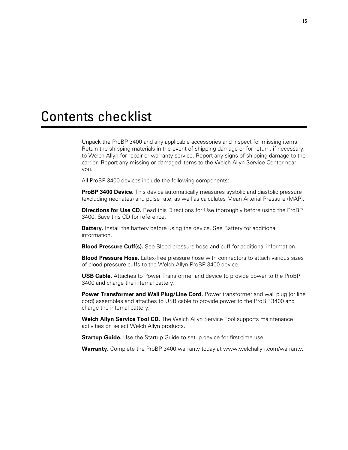### <span id="page-20-0"></span>Contents checklist

Unpack the ProBP 3400 and any applicable accessories and inspect for missing items. Retain the shipping materials in the event of shipping damage or for return, if necessary, to Welch Allyn for repair or warranty service. Report any signs of shipping damage to the carrier. Report any missing or damaged items to the Welch Allyn Service Center near you.

All ProBP 3400 devices include the following components:

**ProBP 3400 Device.** This device automatically measures systolic and diastolic pressure (excluding neonates) and pulse rate, as well as calculates Mean Arterial Pressure (MAP).

**Directions for Use CD.** Read this Directions for Use thoroughly before using the ProBP 3400. Save this CD for reference.

**Battery.** Install the battery before using the device. See Battery for additional information.

**Blood Pressure Cuff(s).** See Blood pressure hose and cuff for additional information.

**Blood Pressure Hose.** Latex-free pressure hose with connectors to attach various sizes of blood pressure cuffs to the Welch Allyn ProBP 3400 device.

**USB Cable.** Attaches to Power Transformer and device to provide power to the ProBP 3400 and charge the internal battery.

**Power Transformer and Wall Plug/Line Cord.** Power transformer and wall plug (or line cord) assembles and attaches to USB cable to provide power to the ProBP 3400 and charge the internal battery.

**Welch Allyn Service Tool CD.** The Welch Allyn Service Tool supports maintenance activities on select Welch Allyn products.

**Startup Guide.** Use the Startup Guide to setup device for first-time use.

**Warranty.** Complete the ProBP 3400 warranty today at www.welchallyn.com/warranty.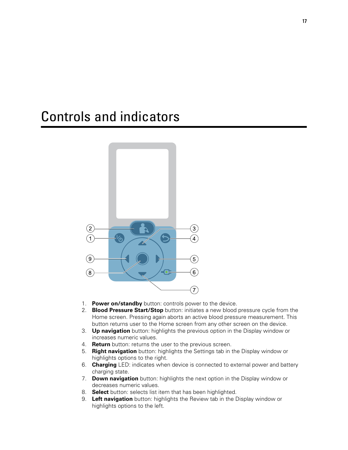### <span id="page-22-0"></span>Controls and indicators



- 1. **Power on/standby** button: controls power to the device.
- 2. **Blood Pressure Start/Stop** button: initiates a new blood pressure cycle from the Home screen. Pressing again aborts an active blood pressure measurement. This button returns user to the Home screen from any other screen on the device.
- 3. **Up navigation** button: highlights the previous option in the Display window or increases numeric values.
- 4. **Return** button: returns the user to the previous screen.
- 5. **Right navigation** button: highlights the Settings tab in the Display window or highlights options to the right.
- 6. **Charging** LED: indicates when device is connected to external power and battery charging state.
- 7. **Down navigation** button: highlights the next option in the Display window or decreases numeric values.
- 8. **Select** button: selects list item that has been highlighted.
- 9. **Left navigation** button: highlights the Review tab in the Display window or highlights options to the left.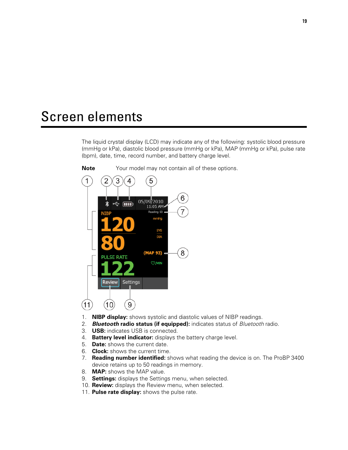### <span id="page-24-0"></span>Screen elements

The liquid crystal display (LCD) may indicate any of the following: systolic blood pressure (mmHg or kPa), diastolic blood pressure (mmHg or kPa), MAP (mmHg or kPa), pulse rate (bpm), date, time, record number, and battery charge level.



**Note** Your model may not contain all of these options.

- 1. **NIBP display:** shows systolic and diastolic values of NIBP readings.
- 2. *Bluetooth* **radio status (if equipped):** indicates status of *Bluetooth* radio.
- 3. **USB:** indicates USB is connected.
- 4. **Battery level indicator:** displays the battery charge level.
- 5. **Date:** shows the current date.
- 6. **Clock:** shows the current time.
- 7. **Reading number identified:** shows what reading the device is on. The ProBP 3400 device retains up to 50 readings in memory.
- 8. **MAP:** shows the MAP value.
- 9. **Settings:** displays the Settings menu, when selected.
- 10. **Review:** displays the Review menu, when selected.
- 11. **Pulse rate display:** shows the pulse rate.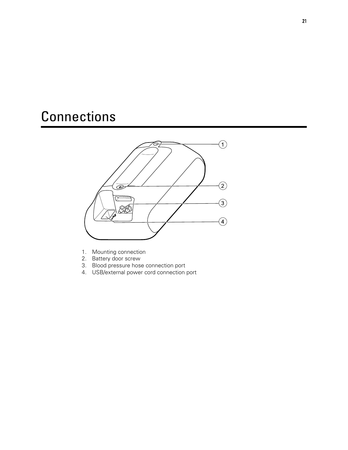## <span id="page-26-0"></span>**Connections**



- 1. Mounting connection
- 2. Battery door screw
- 3. Blood pressure hose connection port
- 4. USB/external power cord connection port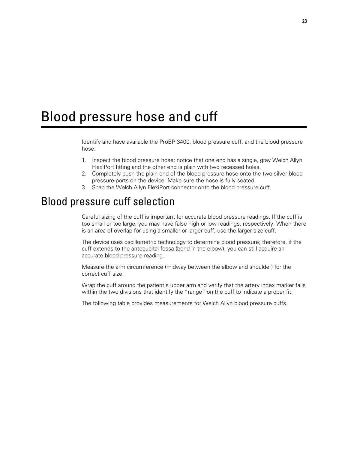### <span id="page-28-0"></span>Blood pressure hose and cuff

Identify and have available the ProBP 3400, blood pressure cuff, and the blood pressure hose.

- 1. Inspect the blood pressure hose; notice that one end has a single, gray Welch Allyn FlexiPort fitting and the other end is plain with two recessed holes.
- 2. Completely push the plain end of the blood pressure hose onto the two silver blood pressure ports on the device. Make sure the hose is fully seated.
- 3. Snap the Welch Allyn FlexiPort connector onto the blood pressure cuff.

#### Blood pressure cuff selection

Careful sizing of the cuff is important for accurate blood pressure readings. If the cuff is too small or too large, you may have false high or low readings, respectively. When there is an area of overlap for using a smaller or larger cuff, use the larger size cuff.

The device uses oscillometric technology to determine blood pressure; therefore, if the cuff extends to the antecubital fossa (bend in the elbow), you can still acquire an accurate blood pressure reading.

Measure the arm circumference (midway between the elbow and shoulder) for the correct cuff size.

Wrap the cuff around the patient's upper arm and verify that the artery index marker falls within the two divisions that identify the "range" on the cuff to indicate a proper fit.

The following table provides measurements for Welch Allyn blood pressure cuffs.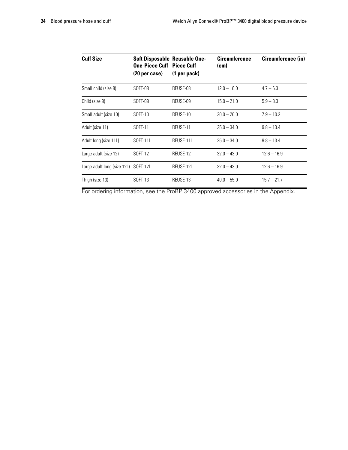| <b>Cuff Size</b>                     | <b>Soft Disposable Reusable One-</b><br><b>One-Piece Cuff Piece Cuff</b><br>(20 per case) | $(1$ per pack) | <b>Circumference</b><br>(cm) | Circumference (in) |
|--------------------------------------|-------------------------------------------------------------------------------------------|----------------|------------------------------|--------------------|
| Small child (size 8)                 | SOFT-08                                                                                   | REUSE-08       | $12.0 - 16.0$                | $4.7 - 6.3$        |
| Child (size 9)                       | SOFT-09                                                                                   | REUSE-09       | $15.0 - 21.0$                | $5.9 - 8.3$        |
| Small adult (size 10)                | SOFT-10                                                                                   | REUSE-10       | $20.0 - 26.0$                | $7.9 - 10.2$       |
| Adult (size 11)                      | SOFT-11                                                                                   | REUSE-11       | $25.0 - 34.0$                | $9.8 - 13.4$       |
| Adult long (size 11L)                | SOFT-11L                                                                                  | REUSE-11L      | $25.0 - 34.0$                | $9.8 - 13.4$       |
| Large adult (size 12)                | SOFT-12                                                                                   | REUSE-12       | $32.0 - 43.0$                | $12.6 - 16.9$      |
| Large adult long (size 12L) SOFT-12L |                                                                                           | REUSE-12L      | $32.0 - 43.0$                | $12.6 - 16.9$      |
| Thigh (size 13)                      | SOFT-13                                                                                   | REUSE-13       | $40.0 - 55.0$                | $15.7 - 21.7$      |

For ordering information, see the ProBP 3400 approved accessories in the Appendix.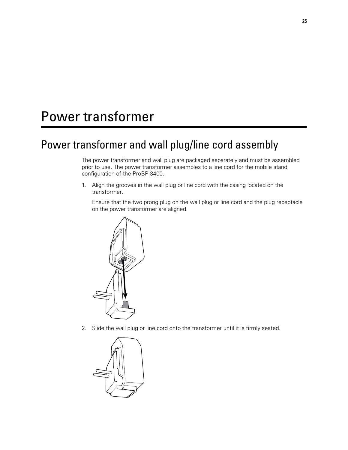## <span id="page-30-0"></span>Power transformer

### Power transformer and wall plug/line cord assembly

The power transformer and wall plug are packaged separately and must be assembled prior to use. The power transformer assembles to a line cord for the mobile stand configuration of the ProBP 3400.

1. Align the grooves in the wall plug or line cord with the casing located on the transformer.

Ensure that the two prong plug on the wall plug or line cord and the plug receptacle on the power transformer are aligned.



2. Slide the wall plug or line cord onto the transformer until it is firmly seated.

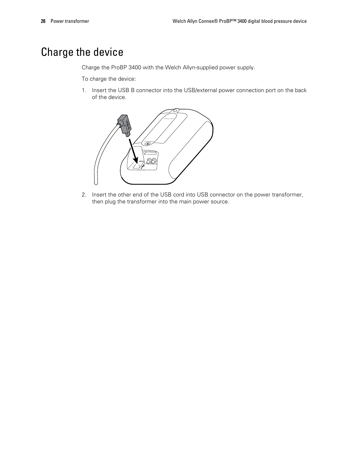### <span id="page-31-0"></span>Charge the device

Charge the ProBP 3400 with the Welch Allyn-supplied power supply.

To charge the device:

1. Insert the USB B connector into the USB/external power connection port on the back of the device.



2. Insert the other end of the USB cord into USB connector on the power transformer, then plug the transformer into the main power source.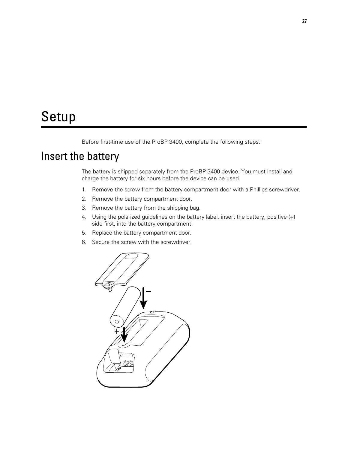### <span id="page-32-0"></span>Setup

Before first-time use of the ProBP 3400, complete the following steps:

### Insert the battery

The battery is shipped separately from the ProBP 3400 device. You must install and charge the battery for six hours before the device can be used.

- 1. Remove the screw from the battery compartment door with a Phillips screwdriver.
- 2. Remove the battery compartment door.
- 3. Remove the battery from the shipping bag.
- 4. Using the polarized guidelines on the battery label, insert the battery, positive (+) side first, into the battery compartment.
- 5. Replace the battery compartment door.
- 6. Secure the screw with the screwdriver.

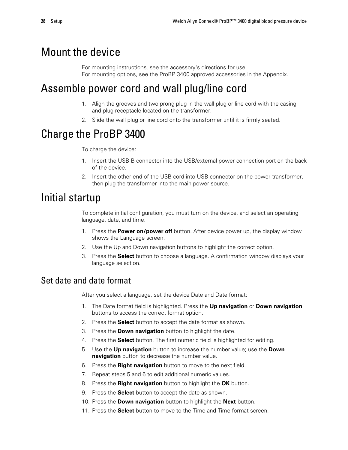#### <span id="page-33-0"></span>Mount the device

For mounting instructions, see the accessory's directions for use. For mounting options, see the ProBP 3400 approved accessories in the Appendix.

### Assemble power cord and wall plug/line cord

- 1. Align the grooves and two prong plug in the wall plug or line cord with the casing and plug receptacle located on the transformer.
- 2. Slide the wall plug or line cord onto the transformer until it is firmly seated.

### Charge the ProBP 3400

To charge the device:

- 1. Insert the USB B connector into the USB/external power connection port on the back of the device.
- 2. Insert the other end of the USB cord into USB connector on the power transformer, then plug the transformer into the main power source.

#### Initial startup

To complete initial configuration, you must turn on the device, and select an operating language, date, and time.

- 1. Press the **Power on/power off** button. After device power up, the display window shows the Language screen.
- 2. Use the Up and Down navigation buttons to highlight the correct option.
- 3. Press the **Select** button to choose a language. A confirmation window displays your language selection.

#### Set date and date format

After you select a language, set the device Date and Date format:

- 1. The Date format field is highlighted. Press the **Up navigation** or **Down navigation** buttons to access the correct format option.
- 2. Press the **Select** button to accept the date format as shown.
- 3. Press the **Down navigation** button to highlight the date.
- 4. Press the **Select** button. The first numeric field is highlighted for editing.
- 5. Use the **Up navigation** button to increase the number value; use the **Down navigation** button to decrease the number value.
- 6. Press the **Right navigation** button to move to the next field.
- 7. Repeat steps 5 and 6 to edit additional numeric values.
- 8. Press the **Right navigation** button to highlight the **OK** button.
- 9. Press the **Select** button to accept the date as shown.
- 10. Press the **Down navigation** button to highlight the **Next** button.
- 11. Press the **Select** button to move to the Time and Time format screen.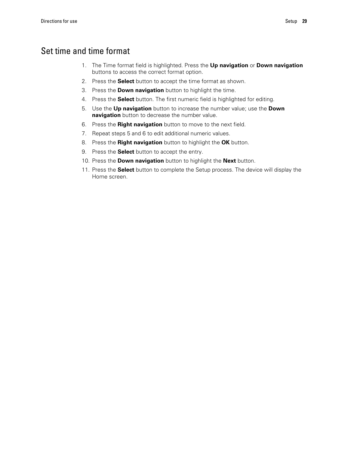#### Set time and time format

- 1. The Time format field is highlighted. Press the **Up navigation** or **Down navigation** buttons to access the correct format option.
- 2. Press the **Select** button to accept the time format as shown.
- 3. Press the **Down navigation** button to highlight the time.
- 4. Press the **Select** button. The first numeric field is highlighted for editing.
- 5. Use the **Up navigation** button to increase the number value; use the **Down navigation** button to decrease the number value.
- 6. Press the **Right navigation** button to move to the next field.
- 7. Repeat steps 5 and 6 to edit additional numeric values.
- 8. Press the **Right navigation** button to highlight the **OK** button.
- 9. Press the **Select** button to accept the entry.
- 10. Press the **Down navigation** button to highlight the **Next** button.
- 11. Press the **Select** button to complete the Setup process. The device will display the Home screen.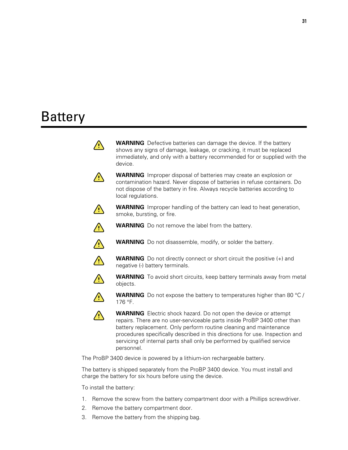# Battery



The ProBP 3400 device is powered by a lithium-ion rechargeable battery.

The battery is shipped separately from the ProBP 3400 device. You must install and charge the battery for six hours before using the device.

To install the battery:

- 1. Remove the screw from the battery compartment door with a Phillips screwdriver.
- 2. Remove the battery compartment door.
- 3. Remove the battery from the shipping bag.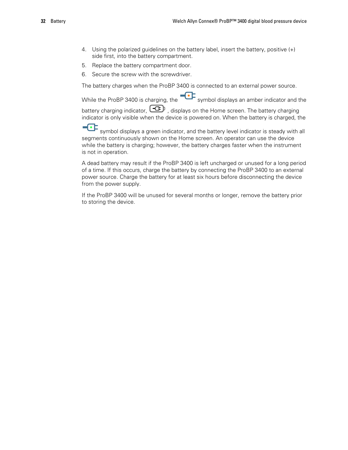- 4. Using the polarized guidelines on the battery label, insert the battery, positive (+) side first, into the battery compartment.
- 5. Replace the battery compartment door.
- 6. Secure the screw with the screwdriver.

The battery charges when the ProBP 3400 is connected to an external power source.

While the ProBP 3400 is charging, the symbol displays an amber indicator and the battery charging indicator,  $\boxed{\text{CP}}$ , displays on the Home screen. The battery charging indicator is only visible when the device is powered on. When the battery is charged, the

 $\overline{\mathbf{C}}$ symbol displays a green indicator, and the battery level indicator is steady with all segments continuously shown on the Home screen. An operator can use the device while the battery is charging; however, the battery charges faster when the instrument is not in operation.

A dead battery may result if the ProBP 3400 is left uncharged or unused for a long period of a time. If this occurs, charge the battery by connecting the ProBP 3400 to an external power source. Charge the battery for at least six hours before disconnecting the device from the power supply.

If the ProBP 3400 will be unused for several months or longer, remove the battery prior to storing the device.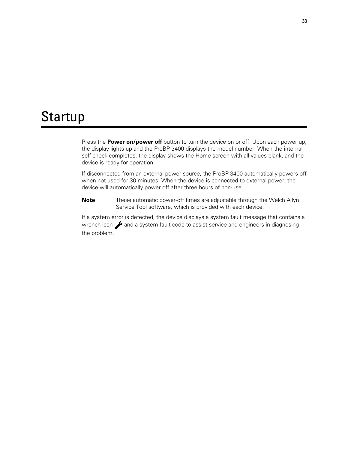# **Startup**

Press the **Power on/power off** button to turn the device on or off. Upon each power up, the display lights up and the ProBP 3400 displays the model number. When the internal self-check completes, the display shows the Home screen with all values blank, and the device is ready for operation.

If disconnected from an external power source, the ProBP 3400 automatically powers off when not used for 30 minutes. When the device is connected to external power, the device will automatically power off after three hours of non-use.

**Note** These automatic power-off times are adjustable through the Welch Allyn Service Tool software, which is provided with each device.

If a system error is detected, the device displays a system fault message that contains a wrench icon  $\rightarrow$  and a system fault code to assist service and engineers in diagnosing the problem.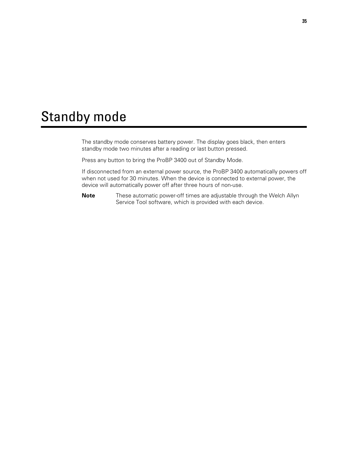# Standby mode

The standby mode conserves battery power. The display goes black, then enters standby mode two minutes after a reading or last button pressed.

Press any button to bring the ProBP 3400 out of Standby Mode.

If disconnected from an external power source, the ProBP 3400 automatically powers off when not used for 30 minutes. When the device is connected to external power, the device will automatically power off after three hours of non-use.

**Note** These automatic power-off times are adjustable through the Welch Allyn Service Tool software, which is provided with each device.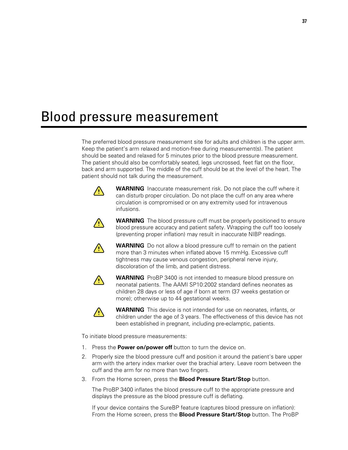# Blood pressure measurement

The preferred blood pressure measurement site for adults and children is the upper arm. Keep the patient's arm relaxed and motion-free during measurement(s). The patient should be seated and relaxed for 5 minutes prior to the blood pressure measurement. The patient should also be comfortably seated, legs uncrossed, feet flat on the floor, back and arm supported. The middle of the cuff should be at the level of the heart. The patient should not talk during the measurement.



**WARNING** Inaccurate measurement risk. Do not place the cuff where it can disturb proper circulation. Do not place the cuff on any area where circulation is compromised or on any extremity used for intravenous infusions.



**WARNING** The blood pressure cuff must be properly positioned to ensure blood pressure accuracy and patient safety. Wrapping the cuff too loosely (preventing proper inflation) may result in inaccurate NIBP readings.



**WARNING** Do not allow a blood pressure cuff to remain on the patient more than 3 minutes when inflated above 15 mmHg. Excessive cuff tightness may cause venous congestion, peripheral nerve injury, discoloration of the limb, and patient distress.



**WARNING** ProBP 3400 is not intended to measure blood pressure on neonatal patients. The AAMI SP10:2002 standard defines neonates as children 28 days or less of age if born at term (37 weeks gestation or more); otherwise up to 44 gestational weeks.



**WARNING** This device is not intended for use on neonates, infants, or children under the age of 3 years. The effectiveness of this device has not been established in pregnant, including pre-eclamptic, patients.

To initiate blood pressure measurements:

- 1. Press the **Power on/power off** button to turn the device on.
- 2. Properly size the blood pressure cuff and position it around the patient's bare upper arm with the artery index marker over the brachial artery. Leave room between the cuff and the arm for no more than two fingers.
- 3. From the Home screen, press the **Blood Pressure Start/Stop** button.

The ProBP 3400 inflates the blood pressure cuff to the appropriate pressure and displays the pressure as the blood pressure cuff is deflating.

If your device contains the SureBP feature (captures blood pressure on inflation): From the Home screen, press the **Blood Pressure Start/Stop** button. The ProBP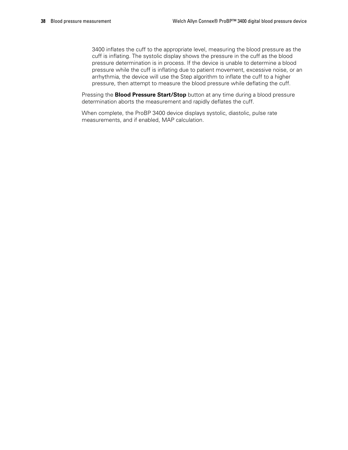3400 inflates the cuff to the appropriate level, measuring the blood pressure as the cuff is inflating. The systolic display shows the pressure in the cuff as the blood pressure determination is in process. If the device is unable to determine a blood pressure while the cuff is inflating due to patient movement, excessive noise, or an arrhythmia, the device will use the Step algorithm to inflate the cuff to a higher pressure, then attempt to measure the blood pressure while deflating the cuff.

Pressing the **Blood Pressure Start/Stop** button at any time during a blood pressure determination aborts the measurement and rapidly deflates the cuff.

When complete, the ProBP 3400 device displays systolic, diastolic, pulse rate measurements, and if enabled, MAP calculation.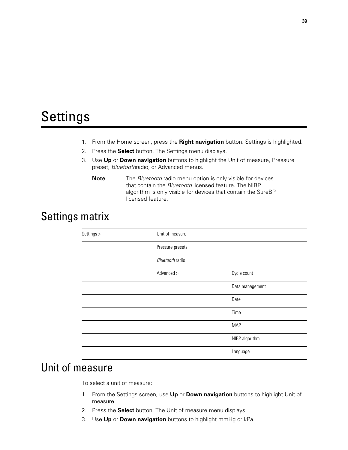# Settings

- 1. From the Home screen, press the **Right navigation** button. Settings is highlighted.
- 2. Press the **Select** button. The Settings menu displays.
- 3. Use **Up** or **Down navigation** buttons to highlight the Unit of measure, Pressure preset, *Bluetooth*radio, or Advanced menus.
	- **Note** The *Bluetooth* radio menu option is only visible for devices that contain the *Bluetooth* licensed feature. The NIBP algorithm is only visible for devices that contain the SureBP licensed feature.

## Settings matrix

| Settings > | Unit of measure  |                 |
|------------|------------------|-----------------|
|            | Pressure presets |                 |
|            | Bluetooth radio  |                 |
|            | Advanced >       | Cycle count     |
|            |                  | Data management |
|            |                  | Date            |
|            |                  | Time            |
|            |                  | <b>MAP</b>      |
|            |                  | NIBP algorithm  |
|            |                  | Language        |

## Unit of measure

To select a unit of measure:

- 1. From the Settings screen, use **Up** or **Down navigation** buttons to highlight Unit of measure.
- 2. Press the **Select** button. The Unit of measure menu displays.
- 3. Use **Up** or **Down navigation** buttons to highlight mmHg or kPa.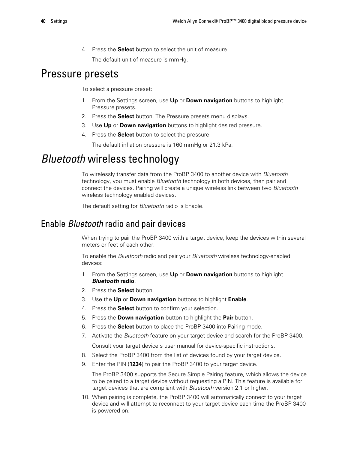4. Press the **Select** button to select the unit of measure.

The default unit of measure is mmHg.

## Pressure presets

To select a pressure preset:

- 1. From the Settings screen, use **Up** or **Down navigation** buttons to highlight Pressure presets.
- 2. Press the **Select** button. The Pressure presets menu displays.
- 3. Use **Up** or **Down navigation** buttons to highlight desired pressure.
- 4. Press the **Select** button to select the pressure.

The default inflation pressure is 160 mmHg or 21.3 kPa.

## *Bluetooth* wireless technology

To wirelessly transfer data from the ProBP 3400 to another device with *Bluetooth* technology, you must enable *Bluetooth* technology in both devices, then pair and connect the devices. Pairing will create a unique wireless link between two *Bluetooth* wireless technology enabled devices.

The default setting for *Bluetooth* radio is Enable.

### Enable *Bluetooth* radio and pair devices

When trying to pair the ProBP 3400 with a target device, keep the devices within several meters or feet of each other.

To enable the *Bluetooth* radio and pair your *Bluetooth* wireless technology-enabled devices:

- 1. From the Settings screen, use **Up** or **Down navigation** buttons to highlight *Bluetooth* **radio**.
- 2. Press the **Select** button.
- 3. Use the **Up** or **Down navigation** buttons to highlight **Enable**.
- 4. Press the **Select** button to confirm your selection.
- 5. Press the **Down navigation** button to highlight the **Pair** button.
- 6. Press the **Select** button to place the ProBP 3400 into Pairing mode.
- 7. Activate the *Bluetooth* feature on your target device and search for the ProBP 3400.
	- Consult your target device's user manual for device-specific instructions.
- 8. Select the ProBP 3400 from the list of devices found by your target device.
- 9. Enter the PIN (**1234**) to pair the ProBP 3400 to your target device.

The ProBP 3400 supports the Secure Simple Pairing feature, which allows the device to be paired to a target device without requesting a PIN. This feature is available for target devices that are compliant with *Bluetooth* version 2.1 or higher.

10. When pairing is complete, the ProBP 3400 will automatically connect to your target device and will attempt to reconnect to your target device each time the ProBP 3400 is powered on.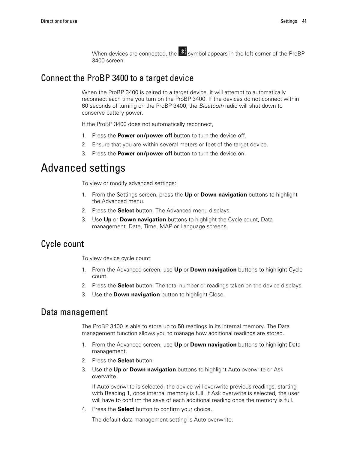When devices are connected, the  $\mathbb{R}$  symbol appears in the left corner of the ProBP 3400 screen.

### Connect the ProBP 3400 to a target device

When the ProBP 3400 is paired to a target device, it will attempt to automatically reconnect each time you turn on the ProBP 3400. If the devices do not connect within 60 seconds of turning on the ProBP 3400, the *Bluetooth* radio will shut down to conserve battery power.

If the ProBP 3400 does not automatically reconnect,

- 1. Press the **Power on/power off** button to turn the device off.
- 2. Ensure that you are within several meters or feet of the target device.
- 3. Press the **Power on/power off** button to turn the device on.

## Advanced settings

To view or modify advanced settings:

- 1. From the Settings screen, press the **Up** or **Down navigation** buttons to highlight the Advanced menu.
- 2. Press the **Select** button. The Advanced menu displays.
- 3. Use **Up** or **Down navigation** buttons to highlight the Cycle count, Data management, Date, Time, MAP or Language screens.

### Cycle count

To view device cycle count:

- 1. From the Advanced screen, use **Up** or **Down navigation** buttons to highlight Cycle count.
- 2. Press the **Select** button. The total number or readings taken on the device displays.
- 3. Use the **Down navigation** button to highlight Close.

#### Data management

The ProBP 3400 is able to store up to 50 readings in its internal memory. The Data management function allows you to manage how additional readings are stored.

- 1. From the Advanced screen, use **Up** or **Down navigation** buttons to highlight Data management.
- 2. Press the **Select** button.
- 3. Use the **Up** or **Down navigation** buttons to highlight Auto overwrite or Ask overwrite.

If Auto overwrite is selected, the device will overwrite previous readings, starting with Reading 1, once internal memory is full. If Ask overwrite is selected, the user will have to confirm the save of each additional reading once the memory is full.

4. Press the **Select** button to confirm your choice.

The default data management setting is Auto overwrite.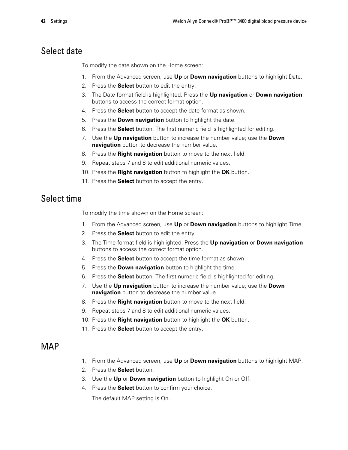### Select date

To modify the date shown on the Home screen:

- 1. From the Advanced screen, use **Up** or **Down navigation** buttons to highlight Date.
- 2. Press the **Select** button to edit the entry.
- 3. The Date format field is highlighted. Press the **Up navigation** or **Down navigation** buttons to access the correct format option.
- 4. Press the **Select** button to accept the date format as shown.
- 5. Press the **Down navigation** button to highlight the date.
- 6. Press the **Select** button. The first numeric field is highlighted for editing.
- 7. Use the **Up navigation** button to increase the number value; use the **Down navigation** button to decrease the number value.
- 8. Press the **Right navigation** button to move to the next field.
- 9. Repeat steps 7 and 8 to edit additional numeric values.
- 10. Press the **Right navigation** button to highlight the **OK** button.
- 11. Press the **Select** button to accept the entry.

### Select time

To modify the time shown on the Home screen:

- 1. From the Advanced screen, use **Up** or **Down navigation** buttons to highlight Time.
- 2. Press the **Select** button to edit the entry.
- 3. The Time format field is highlighted. Press the **Up navigation** or **Down navigation** buttons to access the correct format option.
- 4. Press the **Select** button to accept the time format as shown.
- 5. Press the **Down navigation** button to highlight the time.
- 6. Press the **Select** button. The first numeric field is highlighted for editing.
- 7. Use the **Up navigation** button to increase the number value; use the **Down navigation** button to decrease the number value.
- 8. Press the **Right navigation** button to move to the next field.
- 9. Repeat steps 7 and 8 to edit additional numeric values.
- 10. Press the **Right navigation** button to highlight the **OK** button.
- 11. Press the **Select** button to accept the entry.

### MAP

- 1. From the Advanced screen, use **Up** or **Down navigation** buttons to highlight MAP.
- 2. Press the **Select** button.
- 3. Use the **Up** or **Down navigation** button to highlight On or Off.
- 4. Press the **Select** button to confirm your choice.

The default MAP setting is On.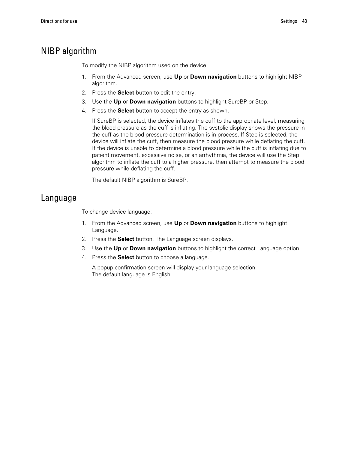### NIBP algorithm

To modify the NIBP algorithm used on the device:

- 1. From the Advanced screen, use **Up** or **Down navigation** buttons to highlight NIBP algorithm.
- 2. Press the **Select** button to edit the entry.
- 3. Use the **Up** or **Down navigation** buttons to highlight SureBP or Step.
- 4. Press the **Select** button to accept the entry as shown.

If SureBP is selected, the device inflates the cuff to the appropriate level, measuring the blood pressure as the cuff is inflating. The systolic display shows the pressure in the cuff as the blood pressure determination is in process. If Step is selected, the device will inflate the cuff, then measure the blood pressure while deflating the cuff. If the device is unable to determine a blood pressure while the cuff is inflating due to patient movement, excessive noise, or an arrhythmia, the device will use the Step algorithm to inflate the cuff to a higher pressure, then attempt to measure the blood pressure while deflating the cuff.

The default NIBP algorithm is SureBP.

### Language

To change device language:

- 1. From the Advanced screen, use **Up** or **Down navigation** buttons to highlight Language.
- 2. Press the **Select** button. The Language screen displays.
- 3. Use the **Up** or **Down navigation** buttons to highlight the correct Language option.
- 4. Press the **Select** button to choose a language.

A popup confirmation screen will display your language selection. The default language is English.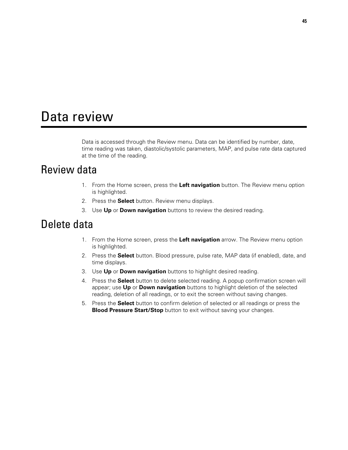# Data review

Data is accessed through the Review menu. Data can be identified by number, date, time reading was taken, diastolic/systolic parameters, MAP, and pulse rate data captured at the time of the reading.

## Review data

- 1. From the Home screen, press the **Left navigation** button. The Review menu option is highlighted.
- 2. Press the **Select** button. Review menu displays.
- 3. Use **Up** or **Down navigation** buttons to review the desired reading.

## Delete data

- 1. From the Home screen, press the **Left navigation** arrow. The Review menu option is highlighted.
- 2. Press the **Select** button. Blood pressure, pulse rate, MAP data (if enabled), date, and time displays.
- 3. Use **Up** or **Down navigation** buttons to highlight desired reading.
- 4. Press the **Select** button to delete selected reading. A popup confirmation screen will appear; use **Up** or **Down navigation** buttons to highlight deletion of the selected reading, deletion of all readings, or to exit the screen without saving changes.
- 5. Press the **Select** button to confirm deletion of selected or all readings or press the **Blood Pressure Start/Stop** button to exit without saving your changes.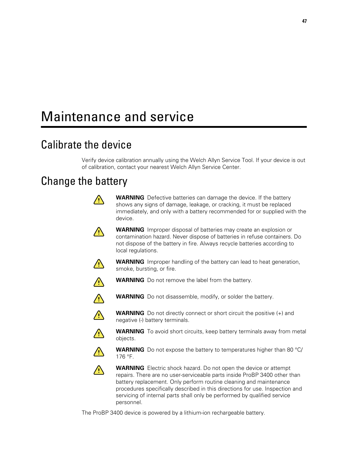# Maintenance and service

# Calibrate the device

Verify device calibration annually using the Welch Allyn Service Tool. If your device is out of calibration, contact your nearest Welch Allyn Service Center.

## Change the battery

|             | <b>WARNING</b> Defective batteries can damage the device. If the battery<br>shows any signs of damage, leakage, or cracking, it must be replaced<br>immediately, and only with a battery recommended for or supplied with the<br>device.                                                                                                                                                             |
|-------------|------------------------------------------------------------------------------------------------------------------------------------------------------------------------------------------------------------------------------------------------------------------------------------------------------------------------------------------------------------------------------------------------------|
|             | <b>WARNING</b> Improper disposal of batteries may create an explosion or<br>contamination hazard. Never dispose of batteries in refuse containers. Do<br>not dispose of the battery in fire. Always recycle batteries according to<br>local regulations.                                                                                                                                             |
|             | <b>WARNING</b> Improper handling of the battery can lead to heat generation,<br>smoke, bursting, or fire.                                                                                                                                                                                                                                                                                            |
|             | <b>WARNING</b> Do not remove the label from the battery.                                                                                                                                                                                                                                                                                                                                             |
| $\sqrt{1}$  | <b>WARNING</b> Do not disassemble, modify, or solder the battery.                                                                                                                                                                                                                                                                                                                                    |
| $\bigwedge$ | <b>WARNING</b> Do not directly connect or short circuit the positive $(+)$ and<br>negative (-) battery terminals.                                                                                                                                                                                                                                                                                    |
| $\bigwedge$ | <b>WARNING</b> To avoid short circuits, keep battery terminals away from metal<br>objects.                                                                                                                                                                                                                                                                                                           |
|             | <b>WARNING</b> Do not expose the battery to temperatures higher than 80 °C/<br>176 °F.                                                                                                                                                                                                                                                                                                               |
|             | <b>WARNING</b> Electric shock hazard. Do not open the device or attempt<br>repairs. There are no user-serviceable parts inside ProBP 3400 other than<br>battery replacement. Only perform routine cleaning and maintenance<br>procedures specifically described in this directions for use. Inspection and<br>servicing of internal parts shall only be performed by qualified service<br>personnel. |

The ProBP 3400 device is powered by a lithium-ion rechargeable battery.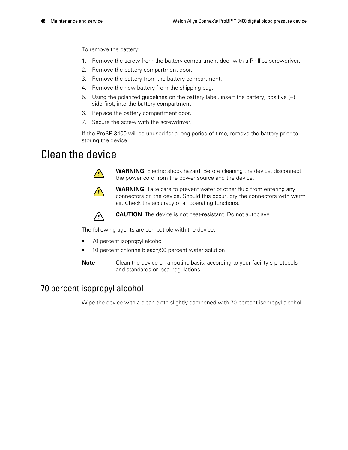To remove the battery:

- 1. Remove the screw from the battery compartment door with a Phillips screwdriver.
- 2. Remove the battery compartment door.
- 3. Remove the battery from the battery compartment.
- 4. Remove the new battery from the shipping bag.
- 5. Using the polarized guidelines on the battery label, insert the battery, positive (+) side first, into the battery compartment.
- 6. Replace the battery compartment door.
- 7. Secure the screw with the screwdriver.

If the ProBP 3400 will be unused for a long period of time, remove the battery prior to storing the device.

## Clean the device



**WARNING** Electric shock hazard. Before cleaning the device, disconnect the power cord from the power source and the device.



**WARNING** Take care to prevent water or other fluid from entering any connectors on the device. Should this occur, dry the connectors with warm air. Check the accuracy of all operating functions.



**CAUTION** The device is not heat-resistant. Do not autoclave.

The following agents are compatible with the device:

- 70 percent isopropyl alcohol
- 10 percent chlorine bleach/90 percent water solution
- **Note** Clean the device on a routine basis, according to your facility's protocols and standards or local regulations.

### 70 percent isopropyl alcohol

Wipe the device with a clean cloth slightly dampened with 70 percent isopropyl alcohol.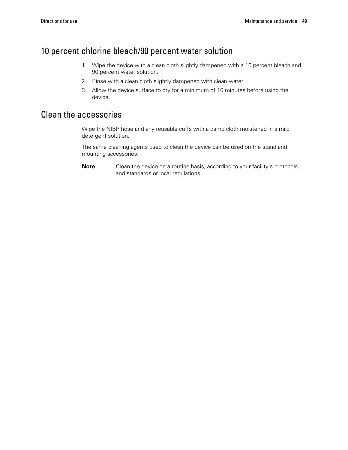### 10 percent chlorine bleach/90 percent water solution

- 1. Wipe the device with a clean cloth slightly dampened with a 10 percent bleach and 90 percent water solution.
- 2. Rinse with a clean cloth slightly dampened with clean water.
- 3. Allow the device surface to dry for a minimum of 10 minutes before using the device.

### Clean the accessories

Wipe the NIBP hose and any reusable cuffs with a damp cloth moistened in a mild detergent solution.

The same cleaning agents used to clean the device can be used on the stand and mounting accessories.

**Note** Clean the device on a routine basis, according to your facility's protocols and standards or local regulations.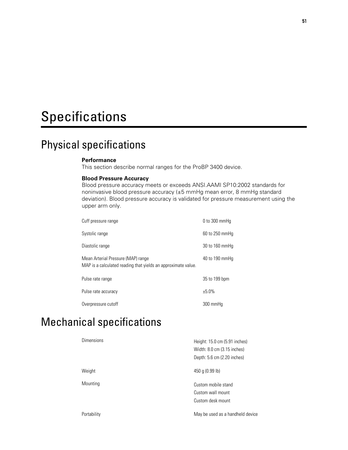# Specifications

## Physical specifications

#### **Performance**

This section describe normal ranges for the ProBP 3400 device.

#### **Blood Pressure Accuracy**

Blood pressure accuracy meets or exceeds ANSI.AAMI SP10:2002 standards for noninvasive blood pressure accuracy (±5 mmHg mean error, 8 mmHg standard deviation). Blood pressure accuracy is validated for pressure measurement using the upper arm only.

| Cuff pressure range                                                                                 | 0 to 300 mmHq  |
|-----------------------------------------------------------------------------------------------------|----------------|
| Systolic range                                                                                      | 60 to 250 mmHq |
| Diastolic range                                                                                     | 30 to 160 mmHq |
| Mean Arterial Pressure (MAP) range<br>MAP is a calculated reading that yields an approximate value. | 40 to 190 mmHq |
| Pulse rate range                                                                                    | 35 to 199 bpm  |
| Pulse rate accuracy                                                                                 | ±5.0%          |
| Overpressure cutoff                                                                                 | 300 mmHq       |

## Mechanical specifications

| <b>Dimensions</b> | Height: 15.0 cm (5.91 inches)<br>Width: 8.0 cm (3.15 inches)<br>Depth: 5.6 cm (2.20 inches) |
|-------------------|---------------------------------------------------------------------------------------------|
| Weight            | 450 g $(0.99 \, \text{lb})$                                                                 |
| Mounting          | Custom mobile stand<br>Custom wall mount<br>Custom desk mount                               |
| Portability       | May be used as a handheld device                                                            |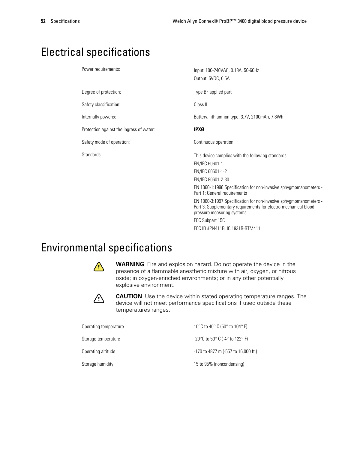## Electrical specifications

| Power requirements:                      | Input: 100-240VAC, 0.18A, 50-60Hz<br>Output: 5VDC, 0.5A                                                                                                            |
|------------------------------------------|--------------------------------------------------------------------------------------------------------------------------------------------------------------------|
| Degree of protection:                    | Type BF applied part                                                                                                                                               |
| Safety classification:                   | Class II                                                                                                                                                           |
| Internally powered:                      | Battery, lithium-ion type, 3.7V, 2100mAh, 7.8Wh                                                                                                                    |
| Protection against the ingress of water: | <b>IPXØ</b>                                                                                                                                                        |
| Safety mode of operation:                | Continuous operation                                                                                                                                               |
| Standards:                               | This device complies with the following standards:                                                                                                                 |
|                                          | EN/IEC 60601-1                                                                                                                                                     |
|                                          | EN/IEC 60601-1-2                                                                                                                                                   |
|                                          | EN/IEC 80601-2-30                                                                                                                                                  |
|                                          | EN 1060-1:1996 Specification for non-invasive sphygmomanometers -<br>Part 1: General requirements                                                                  |
|                                          | EN 1060-3:1997 Specification for non-invasive sphygmomanometers -<br>Part 3: Supplementary requirements for electro-mechanical blood<br>pressure measuring systems |
|                                          | FCC Subpart 15C                                                                                                                                                    |
|                                          | FCC ID #PI4411B, IC 1931B-BTM411                                                                                                                                   |

# Environmental specifications



**WARNING** Fire and explosion hazard. Do not operate the device in the presence of a flammable anesthetic mixture with air, oxygen, or nitrous oxide; in oxygen-enriched environments; or in any other potentially explosive environment.



**CAUTION** Use the device within stated operating temperature ranges. The device will not meet performance specifications if used outside these temperatures ranges.

| Operating temperature | 10 °C to 40 °C (50 ° to 104 °F)                                        |
|-----------------------|------------------------------------------------------------------------|
| Storage temperature   | $-20^{\circ}$ C to 50 $^{\circ}$ C (-4 $^{\circ}$ to 122 $^{\circ}$ F) |
| Operating altitude    | -170 to 4877 m (-557 to 16,000 ft.)                                    |
| Storage humidity      | 15 to 95% (noncondensing)                                              |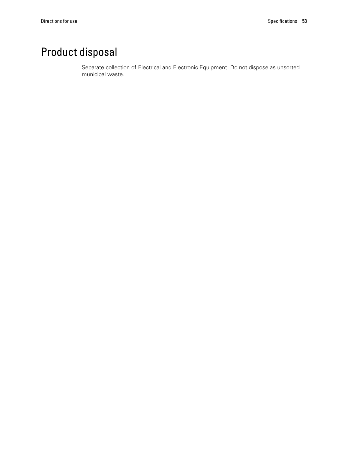# Product disposal

Separate collection of Electrical and Electronic Equipment. Do not dispose as unsorted municipal waste.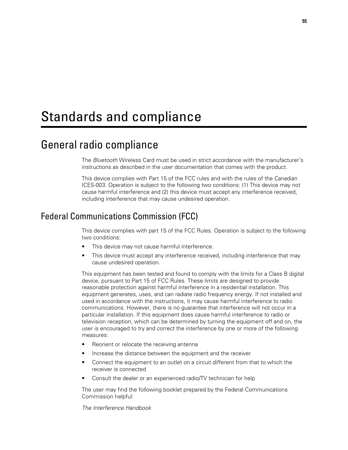# Standards and compliance

## General radio compliance

The *Bluetooth* Wireless Card must be used in strict accordance with the manufacturer's instructions as described in the user documentation that comes with the product.

This device complies with Part 15 of the FCC rules and with the rules of the Canadian ICES-003. Operation is subject to the following two conditions: (1) This device may not cause harmful interference and (2) this device must accept any interference received, including interference that may cause undesired operation.

### Federal Communications Commission (FCC)

This device complies with part 15 of the FCC Rules. Operation is subject to the following two conditions:

- This device may not cause harmful interference.
- This device must accept any interference received, including interference that may cause undesired operation.

This equipment has been tested and found to comply with the limits for a Class B digital device, pursuant to Part 15 of FCC Rules. These limits are designed to provide reasonable protection against harmful interference in a residential installation. This equipment generates, uses, and can radiate radio frequency energy. If not installed and used in accordance with the instructions, it may cause harmful interference to radio communications. However, there is no guarantee that interference will not occur in a particular installation. If this equipment does cause harmful interference to radio or television reception, which can be determined by turning the equipment off and on, the user is encouraged to try and correct the interference by one or more of the following measures:

- Reorient or relocate the receiving antenna
- Increase the distance between the equipment and the receiver
- Connect the equipment to an outlet on a circuit different from that to which the receiver is connected
- Consult the dealer or an experienced radio/TV technician for help

The user may find the following booklet prepared by the Federal Communications Commission helpful:

*The Interference Handbook*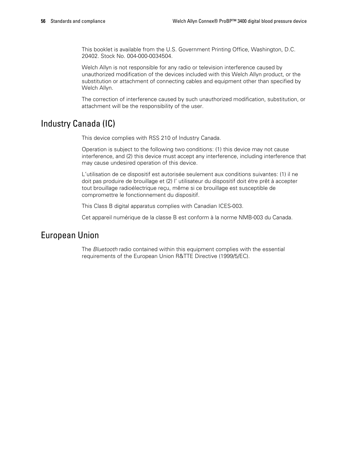This booklet is available from the U.S. Government Printing Office, Washington, D.C. 20402. Stock No. 004-000-0034504.

Welch Allyn is not responsible for any radio or television interference caused by unauthorized modification of the devices included with this Welch Allyn product, or the substitution or attachment of connecting cables and equipment other than specified by Welch Allyn.

The correction of interference caused by such unauthorized modification, substitution, or attachment will be the responsibility of the user.

### Industry Canada (IC)

This device complies with RSS 210 of Industry Canada.

Operation is subject to the following two conditions: (1) this device may not cause interference, and (2) this device must accept any interference, including interference that may cause undesired operation of this device.

L'utilisation de ce dispositif est autorisée seulement aux conditions suivantes: (1) il ne doit pas produire de brouillage et (2) l' utilisateur du dispositif doit étre prêt à accepter tout brouillage radioélectrique reçu, même si ce brouillage est susceptible de compromettre le fonctionnement du dispositif.

This Class B digital apparatus complies with Canadian ICES-003.

Cet appareil numérique de la classe B est conform à la norme NMB-003 du Canada.

### European Union

The *Bluetooth* radio contained within this equipment complies with the essential requirements of the European Union R&TTE Directive (1999/5/EC).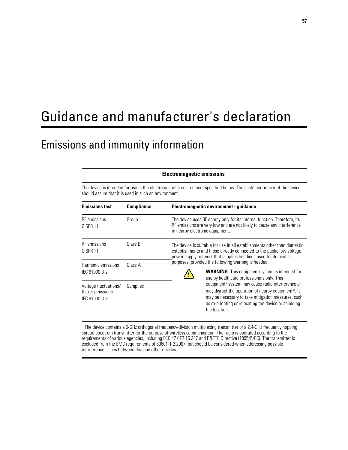# Guidance and manufacturer's declaration

## Emissions and immunity information

#### **Electromagnetic emissions**

The device is intended for use in the electromagnetic environment specified below. The customer or user of the device should assure that it is used in such an environment.

| <b>Emissions test</b>                                       | <b>Compliance</b> | Electromagnetic environment - guidance                                                                                                                                                                                                               |  |
|-------------------------------------------------------------|-------------------|------------------------------------------------------------------------------------------------------------------------------------------------------------------------------------------------------------------------------------------------------|--|
| <b>RF</b> emissions<br>CISPR <sub>11</sub>                  | Group 1           | The device uses RF energy only for its internal function. Therefore, its<br>RF emissions are very low and are not likely to cause any interference<br>in nearby electronic equipment.                                                                |  |
| <b>RF</b> emissions<br>CISPR <sub>11</sub>                  | Class B           | The device is suitable for use in all establishments other than domestic<br>establishments and those directly connected to the public low-voltage<br>power supply network that supplies buildings used for domestic                                  |  |
| Harmonic emissions<br>IEC 61000-3-2                         | Class A           | purposes, provided the following warning is heeded:<br><b>WARNING</b> This equipment/system is intended for<br>use by healthcare professionals only. This                                                                                            |  |
| Voltage fluctuations/<br>flicker emissions<br>IEC 61000-3-3 | Complies          | equipment/ system may cause radio interference or<br>may disrupt the operation of nearby equipment <sup>a</sup> . It<br>may be necessary to take mitigation measures, such<br>as re-orienting or relocating the device or shielding<br>the location. |  |

a The device contains a 5-GHz orthogonal frequency-division multiplexing transmitter or a 2.4-GHz frequency hopping spread-spectrum transmitter for the purpose of wireless communication. The radio is operated according to the requirements of various agencies, including FCC 47 CFR 15.247 and R&TTE Directive (1995/5/EC). The transmitter is excluded from the EMC requirements of 60601-1-2:2007, but should be considered when addressing possible interference issues between this and other devices.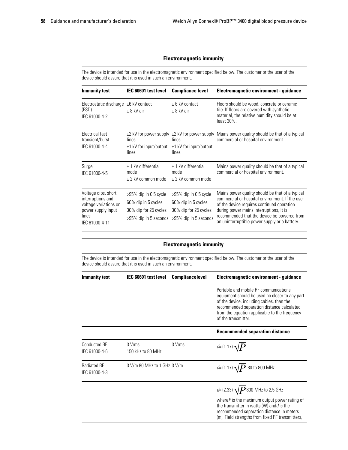#### **Electromagnetic immunity**

The device is intended for use in the electromagnetic environment specified below. The customer or the user of the device should assure that it is used in such an environment.

| <b>Immunity test</b>                                                                                               | IEC 60601 test level                                                     | <b>Compliance level</b>                                                                                                       | Electromagnetic environment - guidance                                                                                                                                                                                                                                                      |
|--------------------------------------------------------------------------------------------------------------------|--------------------------------------------------------------------------|-------------------------------------------------------------------------------------------------------------------------------|---------------------------------------------------------------------------------------------------------------------------------------------------------------------------------------------------------------------------------------------------------------------------------------------|
| Electrostatic discharge $\pm 6$ kV contact<br>(ESD)<br>IEC 61000-4-2                                               | $± 8$ kV air                                                             | $± 6$ kV contact<br>$\pm$ 8 kV air                                                                                            | Floors should be wood, concrete or ceramic<br>tile. If floors are covered with synthetic<br>material, the relative humidity should be at<br>$least 30\%$ .                                                                                                                                  |
| Electrical fast<br>transient/burst<br>IEC 61000-4-4                                                                | lines<br>$\pm$ 1 kV for input/output<br>lines                            | lines<br>$±1$ kV for input/output<br>lines                                                                                    | $\pm$ 2 kV for power supply $\pm$ 2 kV for power supply Mains power quality should be that of a typical<br>commercial or hospital environment.                                                                                                                                              |
| Surge<br>IEC 61000-4-5                                                                                             | $±$ 1 kV differential<br>mode<br>$\pm$ 2 kV common mode                  | $±$ 1 kV differential<br>mode<br>$\pm$ 2 kV common mode                                                                       | Mains power quality should be that of a typical<br>commercial or hospital environment.                                                                                                                                                                                                      |
| Voltage dips, short<br>interruptions and<br>voltage variations on<br>power supply input<br>lines<br>IEC 61000-4-11 | $>95\%$ dip in 0.5 cycle<br>60% dip in 5 cycles<br>30% dip for 25 cycles | $>95\%$ dip in 0.5 cycle<br>60% dip in 5 cycles<br>30% dip for 25 cycles<br>$>95\%$ dip in 5 seconds $>95\%$ dip in 5 seconds | Mains power quality should be that of a typical<br>commercial or hospital environment. If the user<br>of the device requires continued operation<br>during power mains interruptions, it is<br>recommended that the device be powered from<br>an uninterruptible power supply or a battery. |

#### **Electromagnetic immunity**

The device is intended for use in the electromagnetic environment specified below. The customer or the user of the device should assure that it is used in such an environment.

| Immunity test                        | IEC 60601 test level        | <b>Compliancelevel</b> | Electromagnetic environment - guidance                                                                                                                                                                                                                     |
|--------------------------------------|-----------------------------|------------------------|------------------------------------------------------------------------------------------------------------------------------------------------------------------------------------------------------------------------------------------------------------|
|                                      |                             |                        | Portable and mobile RF communications<br>equipment should be used no closer to any part<br>of the device, including cables, than the<br>recommended separation distance calculated<br>from the equation applicable to the frequency<br>of the transmitter. |
|                                      |                             |                        | <b>Recommended separation distance</b>                                                                                                                                                                                                                     |
| <b>Conducted RF</b><br>IEC 61000-4-6 | 3 Vrms<br>150 kHz to 80 MHz | 3 Vrms                 | $d = (1.17) \sqrt{P}$                                                                                                                                                                                                                                      |
| Radiated RF<br>IEC 61000-4-3         | 3 V/m 80 MHz to 1 GHz 3 V/m |                        | $d = (1.17) \sqrt{P} 80$ to 800 MHz                                                                                                                                                                                                                        |
|                                      |                             |                        | d= (2.33) $\sqrt{P}$ 800 MHz to 2,5 GHz                                                                                                                                                                                                                    |
|                                      |                             |                        | where $P$ is the maximum output power rating of<br>the transmitter in watts (W) and <i>d</i> is the<br>recommended separation distance in meters<br>(m). Field strengths from fixed RF transmitters,                                                       |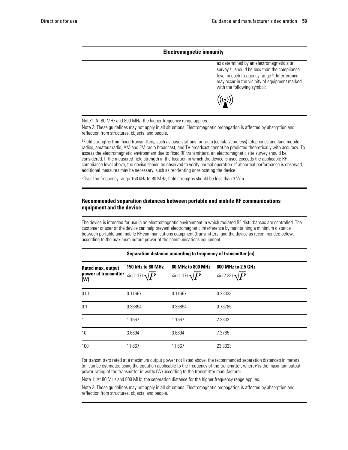#### **Electromagnetic immunity**

as determined by an electromagnetic site survey<sup>a</sup>, should be less than the compliance level in each frequency range b. Interference may occur in the vicinity of equipment marked with the following symbol:



Note1: At 80 MHz and 800 MHz, the higher frequency range applies.

Note 2: These guidelines may not apply in all situations. Electromagnetic propagation is affected by absorption and reflection from structures, objects, and people.

a Field strengths from fixed transmitters, such as base stations for radio (cellular/cordless) telephones and land mobile radios, amateur radio, AM and FM radio broadcast, and TV broadcast cannot be predicted theoretically with accuracy. To assess the electromagnetic environment due to fixed RF transmitters, an electromagnetic site survey should be considered. If the measured field strength in the location in which the device is used exceeds the applicable RF compliance level above, the device should be observed to verify normal operation. If abnormal performance is observed, additional measures may be necessary, such as reorienting or relocating the device.

b<sub>over the frequency range 150 kHz to 80 MHz, field strengths should be less than 3 V/m.</sub>

#### **Recommended separation distances between portable and mobile RF communications equipment and the device**

The device is intended for use in an electromagnetic environment in which radiated RF disturbances are controlled. The customer or user of the device can help prevent electromagnetic interference by maintaining a minimum distance between portable and mobile RF communications equipment (transmitters) and the device as recommended below, according to the maximum output power of the communications equipment.

| Separation distance according to frequency of transmitter (m) |                                         |                                         |                                           |
|---------------------------------------------------------------|-----------------------------------------|-----------------------------------------|-------------------------------------------|
| Rated max. output<br>power of transmitter<br>(W)              | 150 kHz to 80 MHz<br>$d=(1.17)\sqrt{P}$ | 80 MHz to 800 MHz<br>$d=(1.17)\sqrt{P}$ | 800 MHz to 2.5 GHz<br>$d=(2.23) \sqrt{P}$ |
| 0.01                                                          | 0.11667                                 | 0.11667                                 | 0.23333                                   |
| 0.1                                                           | 0.36894                                 | 0.36894                                 | 0.73785                                   |
| 1                                                             | 1.1667                                  | 1.1667                                  | 2.3333                                    |
| 10                                                            | 3.6894                                  | 3.6894                                  | 7.3785                                    |
| 100                                                           | 11.667                                  | 11.667                                  | 23.3333                                   |

For transmitters rated at a maximum output power not listed above, the recommended separation distance*d* in meters (m) can be estimated using the equation applicable to the frequency of the transmitter, where*P* is the maximum output power rating of the transmitter in watts (W) according to the transmitter manufacturer.

Note 1: At 80 MHz and 800 MHz, the separation distance for the higher frequency range applies.

Note 2: These guidelines may not apply in all situations. Electromagnetic propagation is affected by absorption and reflection from structures, objects, and people.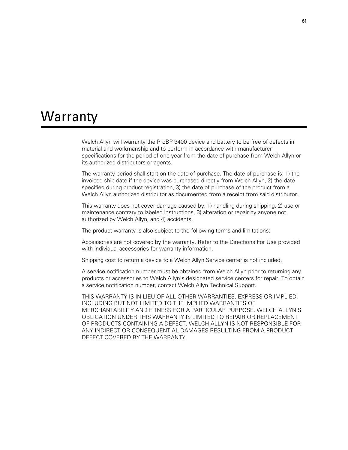# **Warranty**

Welch Allyn will warranty the ProBP 3400 device and battery to be free of defects in material and workmanship and to perform in accordance with manufacturer specifications for the period of one year from the date of purchase from Welch Allyn or its authorized distributors or agents.

The warranty period shall start on the date of purchase. The date of purchase is: 1) the invoiced ship date if the device was purchased directly from Welch Allyn, 2) the date specified during product registration, 3) the date of purchase of the product from a Welch Allyn authorized distributor as documented from a receipt from said distributor.

This warranty does not cover damage caused by: 1) handling during shipping, 2) use or maintenance contrary to labeled instructions, 3) alteration or repair by anyone not authorized by Welch Allyn, and 4) accidents.

The product warranty is also subject to the following terms and limitations:

Accessories are not covered by the warranty. Refer to the Directions For Use provided with individual accessories for warranty information.

Shipping cost to return a device to a Welch Allyn Service center is not included.

A service notification number must be obtained from Welch Allyn prior to returning any products or accessories to Welch Allyn's designated service centers for repair. To obtain a service notification number, contact Welch Allyn Technical Support.

THIS WARRANTY IS IN LIEU OF ALL OTHER WARRANTIES, EXPRESS OR IMPLIED, INCLUDING BUT NOT LIMITED TO THE IMPLIED WARRANTIES OF MERCHANTABILITY AND FITNESS FOR A PARTICULAR PURPOSE. WELCH ALLYN'S OBLIGATION UNDER THIS WARRANTY IS LIMITED TO REPAIR OR REPLACEMENT OF PRODUCTS CONTAINING A DEFECT. WELCH ALLYN IS NOT RESPONSIBLE FOR ANY INDIRECT OR CONSEQUENTIAL DAMAGES RESULTING FROM A PRODUCT DEFECT COVERED BY THE WARRANTY.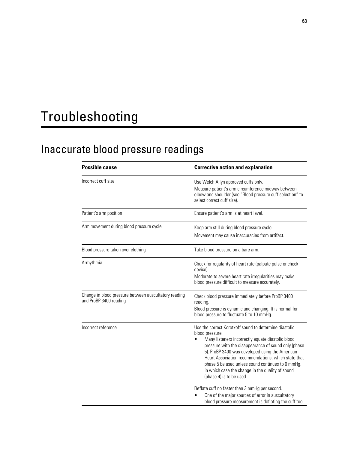# Troubleshooting

# Inaccurate blood pressure readings

| <b>Possible cause</b>                                                           | <b>Corrective action and explanation</b>                                                                                                                                                                                                                                                                                                                                                                                              |  |  |
|---------------------------------------------------------------------------------|---------------------------------------------------------------------------------------------------------------------------------------------------------------------------------------------------------------------------------------------------------------------------------------------------------------------------------------------------------------------------------------------------------------------------------------|--|--|
| Incorrect cuff size                                                             | Use Welch Allyn approved cuffs only.<br>Measure patient's arm circumference midway between<br>elbow and shoulder (see "Blood pressure cuff selection" to<br>select correct cuff size).                                                                                                                                                                                                                                                |  |  |
| Patient's arm position                                                          | Ensure patient's arm is at heart level.                                                                                                                                                                                                                                                                                                                                                                                               |  |  |
| Arm movement during blood pressure cycle                                        | Keep arm still during blood pressure cycle.<br>Movement may cause inaccuracies from artifact.                                                                                                                                                                                                                                                                                                                                         |  |  |
| Blood pressure taken over clothing                                              | Take blood pressure on a bare arm.                                                                                                                                                                                                                                                                                                                                                                                                    |  |  |
| Arrhythmia                                                                      | Check for regularity of heart rate (palpate pulse or check<br>device).<br>Moderate to severe heart rate irregularities may make<br>blood pressure difficult to measure accurately.                                                                                                                                                                                                                                                    |  |  |
| Change in blood pressure between auscultatory reading<br>and ProBP 3400 reading | Check blood pressure immediately before ProBP 3400<br>reading.<br>Blood pressure is dynamic and changing. It is normal for<br>blood pressure to fluctuate 5 to 10 mmHg.                                                                                                                                                                                                                                                               |  |  |
| Incorrect reference                                                             | Use the correct Korotkoff sound to determine diastolic<br>blood pressure.<br>Many listeners incorrectly equate diastolic blood<br>pressure with the disappearance of sound only (phase<br>5). ProBP 3400 was developed using the American<br>Heart Association recommendations, which state that<br>phase 5 be used unless sound continues to 0 mmHg,<br>in which case the change in the quality of sound<br>(phase 4) is to be used. |  |  |
|                                                                                 | Deflate cuff no faster than 3 mmHg per second.<br>One of the major sources of error in auscultatory<br>blood pressure measurement is deflating the cuff too                                                                                                                                                                                                                                                                           |  |  |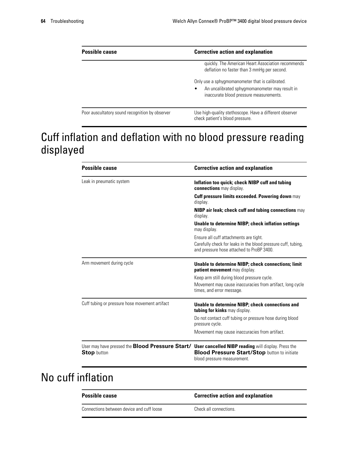| <b>Possible cause</b>                           | <b>Corrective action and explanation</b>                                                                                                     |  |  |
|-------------------------------------------------|----------------------------------------------------------------------------------------------------------------------------------------------|--|--|
|                                                 | quickly. The American Heart Association recommends<br>deflation no faster than 3 mmHg per second.                                            |  |  |
|                                                 | Only use a sphygmomanometer that is calibrated.<br>An uncalibrated sphygmomanometer may result in<br>inaccurate blood pressure measurements. |  |  |
| Poor auscultatory sound recognition by observer | Use high-quality stethoscope. Have a different observer<br>check patient's blood pressure.                                                   |  |  |

# Cuff inflation and deflation with no blood pressure reading displayed

| <b>Possible cause</b>                                                                                                            | <b>Corrective action and explanation</b>                                                                                                             |
|----------------------------------------------------------------------------------------------------------------------------------|------------------------------------------------------------------------------------------------------------------------------------------------------|
| Leak in pneumatic system                                                                                                         | Inflation too quick; check NIBP cuff and tubing<br>connections may display.                                                                          |
|                                                                                                                                  | <b>Cuff pressure limits exceeded. Powering down may</b><br>display.                                                                                  |
|                                                                                                                                  | NIBP air leak; check cuff and tubing connections may<br>display.                                                                                     |
|                                                                                                                                  | Unable to determine NIBP; check inflation settings<br>may display.                                                                                   |
|                                                                                                                                  | Ensure all cuff attachments are tight.<br>Carefully check for leaks in the blood pressure cuff, tubing,<br>and pressure hose attached to ProBP 3400. |
| Arm movement during cycle                                                                                                        | Unable to determine NIBP; check connections; limit<br><b>patient movement</b> may display.                                                           |
|                                                                                                                                  | Keep arm still during blood pressure cycle.                                                                                                          |
|                                                                                                                                  | Movement may cause inaccuracies from artifact, long cycle<br>times, and error message.                                                               |
| Cuff tubing or pressure hose movement artifact                                                                                   | Unable to determine NIBP; check connections and<br>tubing for kinks may display.                                                                     |
|                                                                                                                                  | Do not contact cuff tubing or pressure hose during blood<br>pressure cycle.                                                                          |
|                                                                                                                                  | Movement may cause inaccuracies from artifact.                                                                                                       |
| User may have pressed the <b>Blood Pressure Start/ User cancelled NIBP reading</b> will display. Press the<br><b>Stop</b> button | <b>Blood Pressure Start/Stop button to initiate</b><br>blood pressure measurement.                                                                   |

# No cuff inflation

| <b>Possible cause</b>                     | <b>Corrective action and explanation</b> |
|-------------------------------------------|------------------------------------------|
| Connections between device and cuff loose | Check all connections.                   |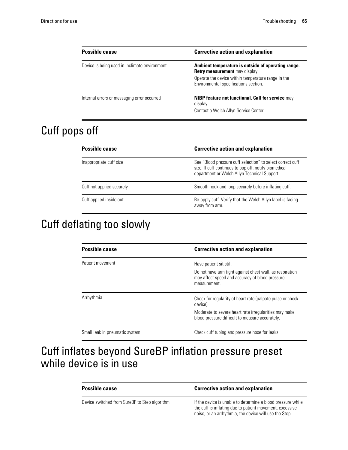| <b>Possible cause</b>                         | <b>Corrective action and explanation</b>                                                                                                                                                   |
|-----------------------------------------------|--------------------------------------------------------------------------------------------------------------------------------------------------------------------------------------------|
| Device is being used in inclimate environment | Ambient temperature is outside of operating range.<br><b>Retry measurement</b> may display.<br>Operate the device within temperature range in the<br>Environmental specifications section. |
| Internal errors or messaging error occurred   | <b>NIBP feature not functional. Call for service may</b><br>display.<br>Contact a Welch Allyn Service Center.                                                                              |

# Cuff pops off

| <b>Possible cause</b>     | <b>Corrective action and explanation</b>                                                                                                                            |
|---------------------------|---------------------------------------------------------------------------------------------------------------------------------------------------------------------|
| Inappropriate cuff size   | See "Blood pressure cuff selection" to select correct cuff<br>size. If cuff continues to pop off, notify biomedical<br>department or Welch Allyn Technical Support. |
| Cuff not applied securely | Smooth hook and loop securely before inflating cuff.                                                                                                                |
| Cuff applied inside out   | Re-apply cuff. Verify that the Welch Allyn label is facing<br>away from arm.                                                                                        |

# Cuff deflating too slowly

| <b>Possible cause</b>          | <b>Corrective action and explanation</b>                                                                                    |
|--------------------------------|-----------------------------------------------------------------------------------------------------------------------------|
| Patient movement               | Have patient sit still.                                                                                                     |
|                                | Do not have arm tight against chest wall, as respiration<br>may affect speed and accuracy of blood pressure<br>measurement. |
| Arrhythmia                     | Check for regularity of heart rate (palpate pulse or check<br>device).                                                      |
|                                | Moderate to severe heart rate irregularities may make<br>blood pressure difficult to measure accurately.                    |
| Small leak in pneumatic system | Check cuff tubing and pressure hose for leaks.                                                                              |

# Cuff inflates beyond SureBP inflation pressure preset while device is in use

| <b>Possible cause</b>                         | <b>Corrective action and explanation</b>                                                                                                                                         |
|-----------------------------------------------|----------------------------------------------------------------------------------------------------------------------------------------------------------------------------------|
| Device switched from SureBP to Step algorithm | If the device is unable to determine a blood pressure while<br>the cuff is inflating due to patient movement, excessive<br>noise, or an arrhythmia, the device will use the Step |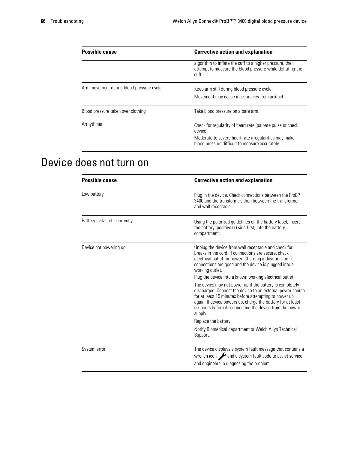| <b>Possible cause</b>                    | <b>Corrective action and explanation</b>                                                                                                                                           |
|------------------------------------------|------------------------------------------------------------------------------------------------------------------------------------------------------------------------------------|
|                                          | algorithm to inflate the cuff to a higher pressure, then<br>attempt to measure the blood pressure while deflating the<br>cuff.                                                     |
| Arm movement during blood pressure cycle | Keep arm still during blood pressure cycle.<br>Movement may cause inaccuracies from artifact.                                                                                      |
| Blood pressure taken over clothing       | Take blood pressure on a bare arm.                                                                                                                                                 |
| Arrhythmia                               | Check for regularity of heart rate (palpate pulse or check<br>device).<br>Moderate to severe heart rate irregularities may make<br>blood pressure difficult to measure accurately. |

# Device does not turn on

| <b>Possible cause</b>         | <b>Corrective action and explanation</b>                                                                                                                                                                                                                                                                              |
|-------------------------------|-----------------------------------------------------------------------------------------------------------------------------------------------------------------------------------------------------------------------------------------------------------------------------------------------------------------------|
| Low battery                   | Plug in the device. Check connections between the ProBP<br>3400 and the transformer, then between the transformer<br>and wall receptacle.                                                                                                                                                                             |
| Battery installed incorrectly | Using the polarized guidelines on the battery label, insert<br>the battery, positive (+) side first, into the battery<br>compartment.                                                                                                                                                                                 |
| Device not powering up        | Unplug the device from wall receptacle and check for<br>breaks in the cord. If connections are secure, check<br>electrical outlet for power. Charging indicator is on if<br>connections are good and the device is plugged into a<br>working outlet.<br>Plug the device into a known working electrical outlet.       |
|                               | The device may not power up if the battery is completely<br>discharged. Connect the device to an external power source<br>for at least 15 minutes before attempting to power up<br>again. If device powers up, charge the battery for at least<br>six hours before disconnecting the device from the power<br>supply. |
|                               | Replace the battery.                                                                                                                                                                                                                                                                                                  |
|                               | Notify Biomedical department or Welch Allyn Technical<br>Support.                                                                                                                                                                                                                                                     |
| System error                  | The device displays a system fault message that contains a<br>wrench icon and a system fault code to assist service<br>and engineers in diagnosing the problem.                                                                                                                                                       |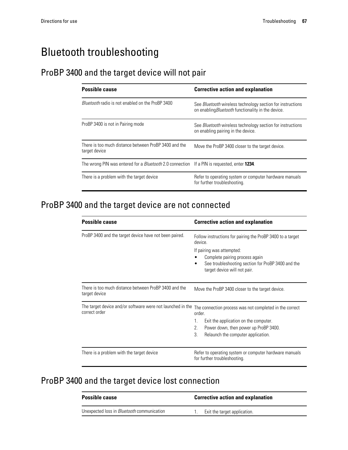## Bluetooth troubleshooting

#### ProBP 3400 and the target device will not pair

| <b>Possible cause</b>                                                                                      | <b>Corrective action and explanation</b>                                                                                |
|------------------------------------------------------------------------------------------------------------|-------------------------------------------------------------------------------------------------------------------------|
| <i>Bluetooth</i> radio is not enabled on the ProBP 3400                                                    | See <i>Bluetooth</i> wireless technology section for instructions<br>on enabling Bluetooth functionality in the device. |
| ProBP 3400 is not in Pairing mode                                                                          | See <i>Bluetooth</i> wireless technology section for instructions<br>on enabling pairing in the device.                 |
| There is too much distance between ProBP 3400 and the<br>target device                                     | Move the ProBP 3400 closer to the target device.                                                                        |
| The wrong PIN was entered for a <i>Bluetooth</i> 2.0 connection If a PIN is requested, enter <b>1234</b> . |                                                                                                                         |
| There is a problem with the target device                                                                  | Refer to operating system or computer hardware manuals<br>for further troubleshooting.                                  |

#### ProBP 3400 and the target device are not connected

| <b>Possible cause</b>                                                       | <b>Corrective action and explanation</b>                                                                                                                                                                                   |
|-----------------------------------------------------------------------------|----------------------------------------------------------------------------------------------------------------------------------------------------------------------------------------------------------------------------|
| ProBP 3400 and the target device have not been paired.                      | Follow instructions for pairing the ProBP 3400 to a target<br>device.<br>If pairing was attempted:<br>Complete pairing process again<br>See troubleshooting section for ProBP 3400 and the<br>target device will not pair. |
| There is too much distance between ProBP 3400 and the<br>target device      | Move the ProBP 3400 closer to the target device.                                                                                                                                                                           |
| The target device and/or software were not launched in the<br>correct order | The connection process was not completed in the correct<br>order<br>Exit the application on the computer.<br>1.<br>2.<br>Power down, then power up ProBP 3400.<br>3.<br>Relaunch the computer application.                 |
| There is a problem with the target device                                   | Refer to operating system or computer hardware manuals<br>for further troubleshooting.                                                                                                                                     |

#### ProBP 3400 and the target device lost connection

| <b>Possible cause</b>                             | <b>Corrective action and explanation</b> |
|---------------------------------------------------|------------------------------------------|
| Unexpected loss in <i>Bluetooth</i> communication | Exit the target application.             |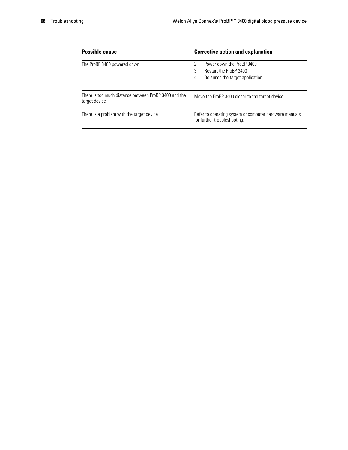| <b>Possible cause</b>                                                  | <b>Corrective action and explanation</b>                                                                       |
|------------------------------------------------------------------------|----------------------------------------------------------------------------------------------------------------|
| The ProBP 3400 powered down                                            | Power down the ProBP 3400<br>2<br><b>Restart the ProBP 3400</b><br>3<br>Relaunch the target application.<br>4. |
| There is too much distance between ProBP 3400 and the<br>target device | Move the ProBP 3400 closer to the target device.                                                               |
| There is a problem with the target device                              | Refer to operating system or computer hardware manuals<br>for further troubleshooting.                         |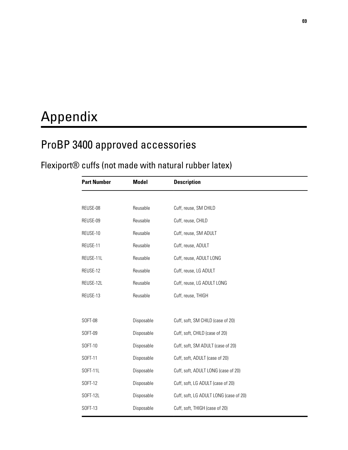# Appendix

## ProBP 3400 approved accessories

## Flexiport® cuffs (not made with natural rubber latex)

| <b>Part Number</b> | <b>Model</b> | <b>Description</b>                     |
|--------------------|--------------|----------------------------------------|
|                    |              |                                        |
| REUSE-08           | Reusable     | Cuff, reuse, SM CHILD                  |
| REUSE-09           | Reusable     | Cuff, reuse, CHILD                     |
| REUSE-10           | Reusable     | Cuff, reuse, SM ADULT                  |
| REUSE-11           | Reusable     | Cuff, reuse, ADULT                     |
| REUSE-11L          | Reusable     | Cuff, reuse, ADULT LONG                |
| REUSE-12           | Reusable     | Cuff, reuse, LG ADULT                  |
| REUSE-12L          | Reusable     | Cuff, reuse, LG ADULT LONG             |
| REUSE-13           | Reusable     | Cuff, reuse, THIGH                     |
|                    |              |                                        |
| SOFT-08            | Disposable   | Cuff, soft, SM CHILD (case of 20)      |
| SOFT-09            | Disposable   | Cuff, soft, CHILD (case of 20)         |
| SOFT-10            | Disposable   | Cuff, soft, SM ADULT (case of 20)      |
| SOFT-11            | Disposable   | Cuff, soft, ADULT (case of 20)         |
| SOFT-11L           | Disposable   | Cuff, soft, ADULT LONG (case of 20)    |
| SOFT-12            | Disposable   | Cuff, soft, LG ADULT (case of 20)      |
| SOFT-12L           | Disposable   | Cuff, soft, LG ADULT LONG (case of 20) |
| SOFT-13            | Disposable   | Cuff, soft, THIGH (case of 20)         |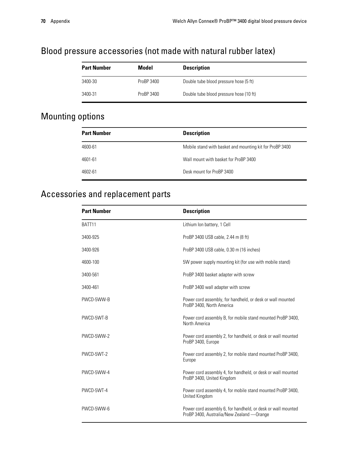#### Blood pressure accessories (not made with natural rubber latex)

| <b>Part Number</b> | Model      | <b>Description</b>                      |
|--------------------|------------|-----------------------------------------|
| 3400-30            | ProBP 3400 | Double tube blood pressure hose (5 ft)  |
| 3400-31            | ProBP 3400 | Double tube blood pressure hose (10 ft) |

#### Mounting options

| <b>Part Number</b> | <b>Description</b>                                       |
|--------------------|----------------------------------------------------------|
| 4600-61            | Mobile stand with basket and mounting kit for ProBP 3400 |
| 4601-61            | Wall mount with basket for ProBP 3400                    |
| 4602-61            | Desk mount for ProBP 3400                                |

#### Accessories and replacement parts

| <b>Part Number</b> | <b>Description</b>                                                                                         |
|--------------------|------------------------------------------------------------------------------------------------------------|
| BATT <sub>11</sub> | Lithium Ion battery, 1 Cell                                                                                |
| 3400-925           | ProBP 3400 USB cable, 2.44 m (8 ft)                                                                        |
| 3400-926           | ProBP 3400 USB cable, 0.30 m (16 inches)                                                                   |
| 4600-100           | 5W power supply mounting kit (for use with mobile stand)                                                   |
| 3400-561           | ProBP 3400 basket adapter with screw                                                                       |
| 3400-461           | ProBP 3400 wall adapter with screw                                                                         |
| PWCD-5WW-B         | Power cord assembly, for handheld, or desk or wall mounted<br>ProBP 3400, North America                    |
| PWCD-5WT-B         | Power cord assembly B, for mobile stand mounted ProBP 3400,<br>North America                               |
| PWCD-5WW-2         | Power cord assembly 2, for handheld, or desk or wall mounted<br>ProBP 3400, Europe                         |
| PWCD-5WT-2         | Power cord assembly 2, for mobile stand mounted ProBP 3400,<br>Europe                                      |
| PWCD-5WW-4         | Power cord assembly 4, for handheld, or desk or wall mounted<br>ProBP 3400, United Kingdom                 |
| PWCD-5WT-4         | Power cord assembly 4, for mobile stand mounted ProBP 3400,<br>United Kingdom                              |
| PWCD-5WW-6         | Power cord assembly 6, for handheld, or desk or wall mounted<br>ProBP 3400, Australia/New Zealand — Orange |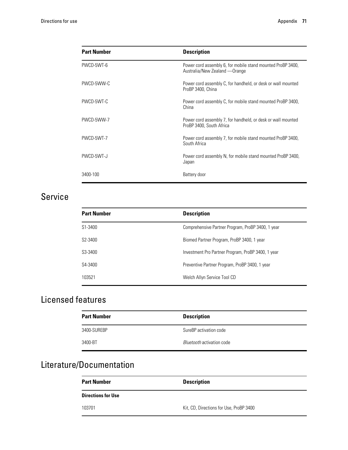| <b>Part Number</b> | <b>Description</b>                                                                            |
|--------------------|-----------------------------------------------------------------------------------------------|
| PWCD-5WT-6         | Power cord assembly 6, for mobile stand mounted ProBP 3400,<br>Australia/New Zealand — Orange |
| PWCD-5WW-C         | Power cord assembly C, for handheld, or desk or wall mounted<br>ProBP 3400, China             |
| PWCD-5WT-C         | Power cord assembly C, for mobile stand mounted ProBP 3400,<br>China                          |
| PWCD-5WW-7         | Power cord assembly 7, for handheld, or desk or wall mounted<br>ProBP 3400, South Africa      |
| PWCD-5WT-7         | Power cord assembly 7, for mobile stand mounted ProBP 3400,<br>South Africa                   |
| PWCD-5WT-J         | Power cord assembly N, for mobile stand mounted ProBP 3400,<br>Japan                          |
| 3400-100           | Battery door                                                                                  |

#### Service

| <b>Part Number</b>   | <b>Description</b>                                 |
|----------------------|----------------------------------------------------|
| S1-3400              | Comprehensive Partner Program, ProBP 3400, 1 year  |
| S <sub>2</sub> -3400 | Biomed Partner Program, ProBP 3400, 1 year         |
| S3-3400              | Investment Pro Partner Program, ProBP 3400, 1 year |
| S4-3400              | Preventive Partner Program, ProBP 3400, 1 year     |
| 103521               | Welch Allyn Service Tool CD                        |

### Licensed features

| <b>Part Number</b> | <b>Description</b>               |
|--------------------|----------------------------------|
| 3400-SUREBP        | SureBP activation code           |
| 3400-BT            | <i>Bluetooth</i> activation code |

## Literature/Documentation

| <b>Part Number</b>        | <b>Description</b>                      |
|---------------------------|-----------------------------------------|
| <b>Directions for Use</b> |                                         |
| 103701                    | Kit, CD, Directions for Use, ProBP 3400 |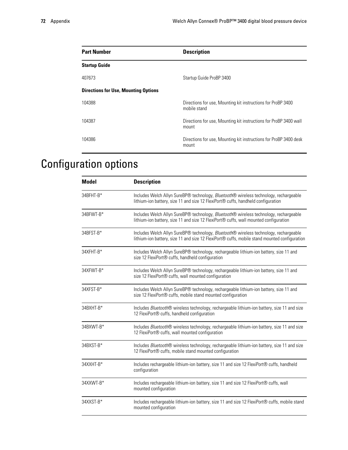| <b>Part Number</b>                          | <b>Description</b>                                                           |
|---------------------------------------------|------------------------------------------------------------------------------|
| <b>Startup Guide</b>                        |                                                                              |
| 407673                                      | Startup Guide ProBP 3400                                                     |
| <b>Directions for Use, Mounting Options</b> |                                                                              |
| 104388                                      | Directions for use, Mounting kit instructions for ProBP 3400<br>mobile stand |
| 104387                                      | Directions for use, Mounting kit instructions for ProBP 3400 wall<br>mount   |
| 104386                                      | Directions for use, Mounting kit instructions for ProBP 3400 desk<br>mount   |

## Configuration options

| <b>Model</b> | <b>Description</b>                                                                                                                                                                     |
|--------------|----------------------------------------------------------------------------------------------------------------------------------------------------------------------------------------|
| 34BFHT-B*    | Includes Welch Allyn SureBP® technology, Bluetooth® wireless technology, rechargeable<br>lithium-ion battery, size 11 and size 12 FlexiPort <sup>®</sup> cuffs, handheld configuration |
| 34BFWT-B*    | Includes Welch Allyn SureBP® technology, Bluetooth® wireless technology, rechargeable<br>lithium-ion battery, size 11 and size 12 FlexiPort® cuffs, wall mounted configuration         |
| 34BFST-B*    | Includes Welch Allyn SureBP® technology, Bluetooth® wireless technology, rechargeable<br>lithium-ion battery, size 11 and size 12 FlexiPort® cuffs, mobile stand mounted configuration |
| 34XFHT-B*    | Includes Welch Allyn SureBP® technology, rechargeable lithium-ion battery, size 11 and<br>size 12 FlexiPort® cuffs, handheld configuration                                             |
| 34XFWT-B*    | Includes Welch Allyn SureBP® technology, rechargeable lithium-ion battery, size 11 and<br>size 12 FlexiPort® cuffs, wall mounted configuration                                         |
| 34XFST-B*    | Includes Welch Allyn SureBP® technology, rechargeable lithium-ion battery, size 11 and<br>size 12 FlexiPort® cuffs, mobile stand mounted configuration                                 |
| 34BXHT-B*    | Includes Bluetooth® wireless technology, rechargeable lithium-ion battery, size 11 and size<br>12 FlexiPort® cuffs, handheld configuration                                             |
| 34BXWT-B*    | Includes Bluetooth® wireless technology, rechargeable lithium-ion battery, size 11 and size<br>12 FlexiPort® cuffs, wall mounted configuration                                         |
| 34BXST-B*    | Includes Bluetooth® wireless technology, rechargeable lithium-ion battery, size 11 and size<br>12 FlexiPort® cuffs, mobile stand mounted configuration                                 |
| 34XXHT-B*    | Includes rechargeable lithium-ion battery, size 11 and size 12 FlexiPort® cuffs, handheld<br>configuration                                                                             |
| 34XXWT-B*    | Includes rechargeable lithium-ion battery, size 11 and size 12 FlexiPort <sup>®</sup> cuffs, wall<br>mounted configuration                                                             |
| 34XXST-B*    | Includes rechargeable lithium-ion battery, size 11 and size 12 FlexiPort® cuffs, mobile stand<br>mounted configuration                                                                 |